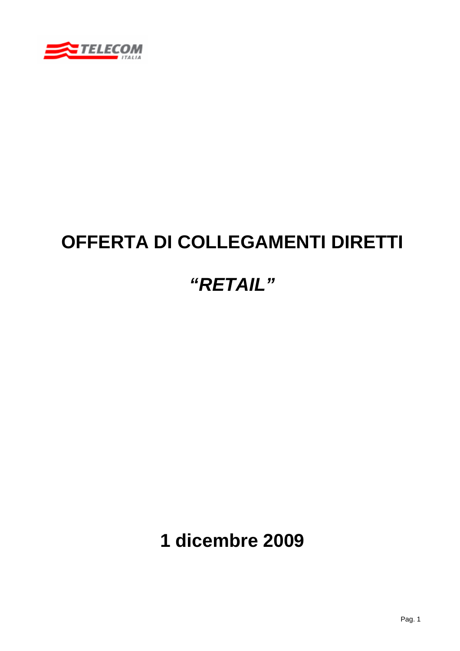

# **OFFERTA DI COLLEGAMENTI DIRETTI**

# *"RETAIL"*

**1 dicembre 2009**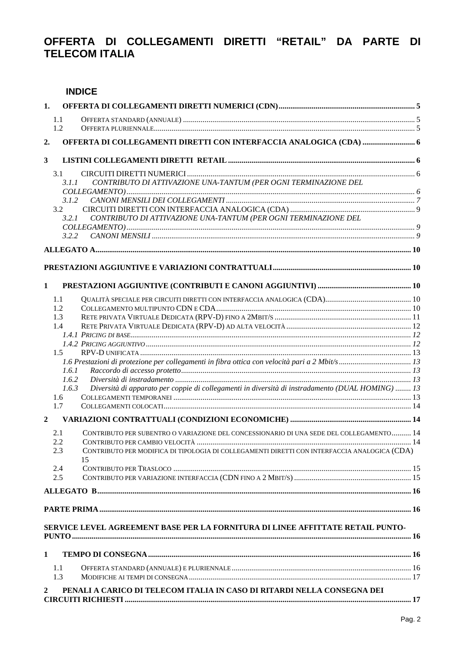# OFFERTA DI COLLEGAMENTI DIRETTI "RETAIL" DA PARTE DI **TELECOM ITALIA**

## **INDICE**

| 1.             |                                                                          |                                                                                                                                                                                               |  |
|----------------|--------------------------------------------------------------------------|-----------------------------------------------------------------------------------------------------------------------------------------------------------------------------------------------|--|
|                | 1.1<br>1.2                                                               |                                                                                                                                                                                               |  |
| 2.             |                                                                          |                                                                                                                                                                                               |  |
| $\mathbf{3}$   |                                                                          |                                                                                                                                                                                               |  |
|                | 3.1<br>3.1.1<br>3.1.2<br>3.2<br>3.2.1<br>3.2.2                           | CONTRIBUTO DI ATTIVAZIONE UNA-TANTUM (PER OGNI TERMINAZIONE DEL<br>CONTRIBUTO DI ATTIVAZIONE UNA-TANTUM (PER OGNI TERMINAZIONE DEL                                                            |  |
|                |                                                                          |                                                                                                                                                                                               |  |
|                |                                                                          |                                                                                                                                                                                               |  |
|                |                                                                          |                                                                                                                                                                                               |  |
| 1              |                                                                          |                                                                                                                                                                                               |  |
|                | 1.1<br>1.2<br>1.3<br>1.4<br>1.5<br>1.6.1<br>1.6.2<br>1.6.3<br>1.6<br>1.7 | Diversità di apparato per coppie di collegamenti in diversità di instradamento (DUAL HOMING)  13                                                                                              |  |
| $\overline{2}$ |                                                                          |                                                                                                                                                                                               |  |
|                | 2.1<br>2.2<br>2.3<br>2.4<br>2.5                                          | CONTRIBUTO PER SUBENTRO O VARIAZIONE DEL CONCESSIONARIO DI UNA SEDE DEL COLLEGAMENTO 14<br>CONTRIBUTO PER MODIFICA DI TIPOLOGIA DI COLLEGAMENTI DIRETTI CON INTERFACCIA ANALOGICA (CDA)<br>15 |  |
|                |                                                                          |                                                                                                                                                                                               |  |
|                |                                                                          | SERVICE LEVEL AGREEMENT BASE PER LA FORNITURA DI LINEE AFFITTATE RETAIL PUNTO-                                                                                                                |  |
| $\mathbf{1}$   |                                                                          |                                                                                                                                                                                               |  |
|                | 1.1<br>1.3                                                               |                                                                                                                                                                                               |  |
| $\mathbf{2}$   |                                                                          | PENALI A CARICO DI TELECOM ITALIA IN CASO DI RITARDI NELLA CONSEGNA DEI                                                                                                                       |  |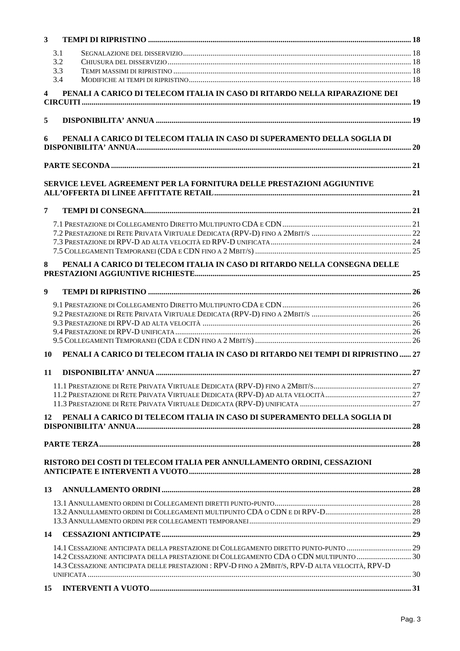| 3 <sup>1</sup>          |                                                                                                 |  |
|-------------------------|-------------------------------------------------------------------------------------------------|--|
|                         | 3.1                                                                                             |  |
|                         | 3.2                                                                                             |  |
|                         | 3.3                                                                                             |  |
|                         | 3.4                                                                                             |  |
| $\overline{\mathbf{4}}$ | PENALI A CARICO DI TELECOM ITALIA IN CASO DI RITARDO NELLA RIPARAZIONE DEI                      |  |
| 5                       |                                                                                                 |  |
| 6                       | PENALI A CARICO DI TELECOM ITALIA IN CASO DI SUPERAMENTO DELLA SOGLIA DI                        |  |
|                         |                                                                                                 |  |
|                         |                                                                                                 |  |
|                         | SERVICE LEVEL AGREEMENT PER LA FORNITURA DELLE PRESTAZIONI AGGIUNTIVE                           |  |
| $\overline{7}$          |                                                                                                 |  |
|                         |                                                                                                 |  |
|                         |                                                                                                 |  |
|                         |                                                                                                 |  |
|                         |                                                                                                 |  |
|                         |                                                                                                 |  |
| 8                       | PENALI A CARICO DI TELECOM ITALIA IN CASO DI RITARDO NELLA CONSEGNA DELLE                       |  |
| $\boldsymbol{9}$        |                                                                                                 |  |
|                         |                                                                                                 |  |
|                         |                                                                                                 |  |
|                         |                                                                                                 |  |
|                         |                                                                                                 |  |
|                         |                                                                                                 |  |
| 10                      | PENALI A CARICO DI TELECOM ITALIA IN CASO DI RITARDO NEI TEMPI DI RIPRISTINO  27                |  |
| 11                      |                                                                                                 |  |
|                         |                                                                                                 |  |
|                         |                                                                                                 |  |
|                         |                                                                                                 |  |
| 12                      | PENALI A CARICO DI TELECOM ITALIA IN CASO DI SUPERAMENTO DELLA SOGLIA DI                        |  |
|                         |                                                                                                 |  |
|                         | RISTORO DEI COSTI DI TELECOM ITALIA PER ANNULLAMENTO ORDINI, CESSAZIONI                         |  |
|                         |                                                                                                 |  |
| 13                      |                                                                                                 |  |
|                         |                                                                                                 |  |
|                         |                                                                                                 |  |
| 14                      |                                                                                                 |  |
|                         | 14.1 CESSAZIONE ANTICIPATA DELLA PRESTAZIONE DI COLLEGAMENTO DIRETTO PUNTO-PUNTO  29            |  |
|                         | 14.2 CESSAZIONE ANTICIPATA DELLA PRESTAZIONE DI COLLEGAMENTO CDA O CDN MULTIPUNTO  30           |  |
|                         | 14.3 CESSAZIONE ANTICIPATA DELLE PRESTAZIONI : RPV-D FINO A 2MBIT/S, RPV-D ALTA VELOCITÀ, RPV-D |  |
|                         |                                                                                                 |  |
| 15                      |                                                                                                 |  |
|                         |                                                                                                 |  |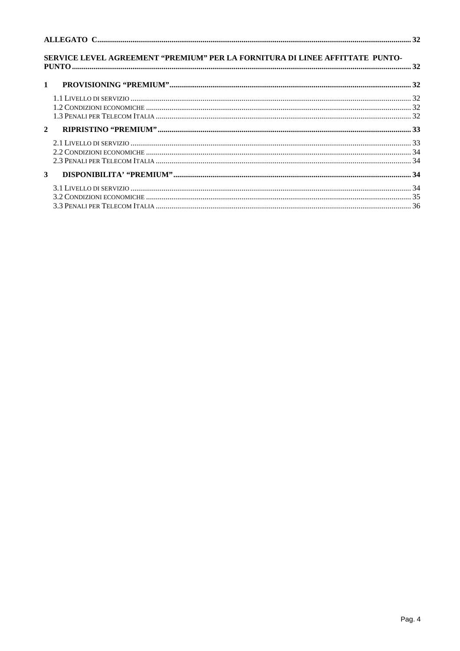| SERVICE LEVEL AGREEMENT "PREMIUM" PER LA FORNITURA DI LINEE AFFITTATE PUNTO- |  |
|------------------------------------------------------------------------------|--|
| $\mathbf{1}$                                                                 |  |
|                                                                              |  |
| $\overline{2}$                                                               |  |
|                                                                              |  |
| 3 <sup>1</sup>                                                               |  |
|                                                                              |  |
|                                                                              |  |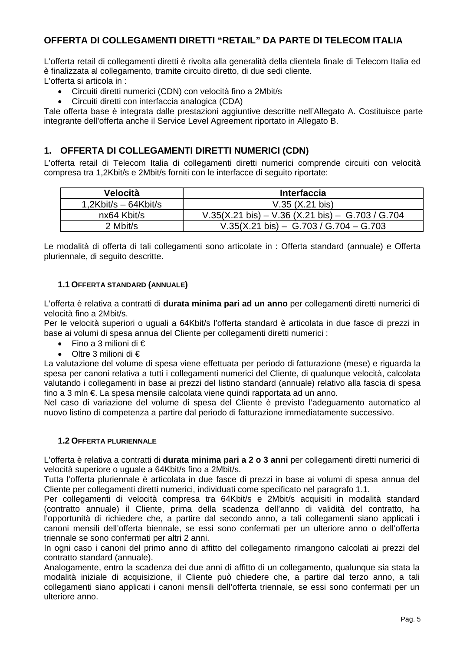## **OFFERTA DI COLLEGAMENTI DIRETTI "RETAIL" DA PARTE DI TELECOM ITALIA**

L'offerta retail di collegamenti diretti è rivolta alla generalità della clientela finale di Telecom Italia ed è finalizzata al collegamento, tramite circuito diretto, di due sedi cliente. L'offerta si articola in :

- Circuiti diretti numerici (CDN) con velocità fino a 2Mbit/s
- Circuiti diretti con interfaccia analogica (CDA)

Tale offerta base è integrata dalle prestazioni aggiuntive descritte nell'Allegato A. Costituisce parte integrante dell'offerta anche il Service Level Agreement riportato in Allegato B.

## **1. OFFERTA DI COLLEGAMENTI DIRETTI NUMERICI (CDN)**

L'offerta retail di Telecom Italia di collegamenti diretti numerici comprende circuiti con velocità compresa tra 1,2Kbit/s e 2Mbit/s forniti con le interfacce di seguito riportate:

| Velocità               | <b>Interfaccia</b>                               |
|------------------------|--------------------------------------------------|
| $1,2Kbit/s - 64Kbit/s$ | $V.35$ (X.21 bis)                                |
| nx64 Kbit/s            | V.35(X.21 bis) – V.36 (X.21 bis) – G.703 / G.704 |
| 2 Mbit/s               | $V.35(X.21 \text{ bis}) - G.703 / G.704 - G.703$ |

Le modalità di offerta di tali collegamenti sono articolate in : Offerta standard (annuale) e Offerta pluriennale, di seguito descritte.

#### **1.1 OFFERTA STANDARD (ANNUALE)**

L'offerta è relativa a contratti di **durata minima pari ad un anno** per collegamenti diretti numerici di velocità fino a 2Mbit/s.

Per le velocità superiori o uguali a 64Kbit/s l'offerta standard è articolata in due fasce di prezzi in base ai volumi di spesa annua del Cliente per collegamenti diretti numerici :

- Fino a 3 milioni di  $\epsilon$
- Oltre 3 milioni di €

La valutazione del volume di spesa viene effettuata per periodo di fatturazione (mese) e riguarda la spesa per canoni relativa a tutti i collegamenti numerici del Cliente, di qualunque velocità, calcolata valutando i collegamenti in base ai prezzi del listino standard (annuale) relativo alla fascia di spesa fino a 3 mln €. La spesa mensile calcolata viene quindi rapportata ad un anno.

Nel caso di variazione del volume di spesa del Cliente è previsto l'adeguamento automatico al nuovo listino di competenza a partire dal periodo di fatturazione immediatamente successivo.

#### **1.2 OFFERTA PLURIENNALE**

L'offerta è relativa a contratti di **durata minima pari a 2 o 3 anni** per collegamenti diretti numerici di velocità superiore o uguale a 64Kbit/s fino a 2Mbit/s.

Tutta l'offerta pluriennale è articolata in due fasce di prezzi in base ai volumi di spesa annua del Cliente per collegamenti diretti numerici, individuati come specificato nel paragrafo 1.1.

Per collegamenti di velocità compresa tra 64Kbit/s e 2Mbit/s acquisiti in modalità standard (contratto annuale) il Cliente, prima della scadenza dell'anno di validità del contratto, ha l'opportunità di richiedere che, a partire dal secondo anno, a tali collegamenti siano applicati i canoni mensili dell'offerta biennale, se essi sono confermati per un ulteriore anno o dell'offerta triennale se sono confermati per altri 2 anni.

In ogni caso i canoni del primo anno di affitto del collegamento rimangono calcolati ai prezzi del contratto standard (annuale).

Analogamente, entro la scadenza dei due anni di affitto di un collegamento, qualunque sia stata la modalità iniziale di acquisizione, il Cliente può chiedere che, a partire dal terzo anno, a tali collegamenti siano applicati i canoni mensili dell'offerta triennale, se essi sono confermati per un ulteriore anno.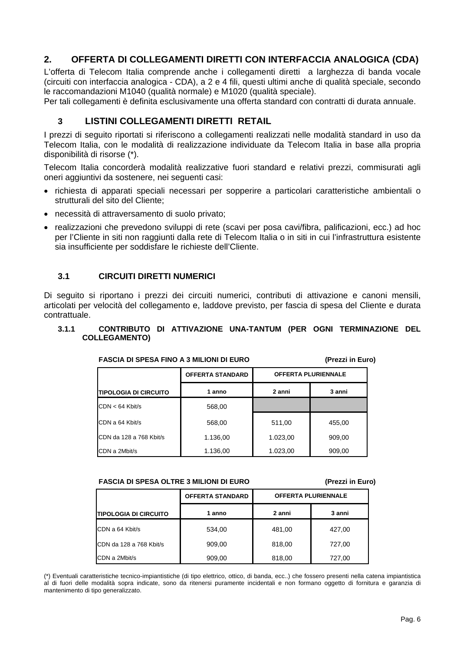## **2. OFFERTA DI COLLEGAMENTI DIRETTI CON INTERFACCIA ANALOGICA (CDA)**

L'offerta di Telecom Italia comprende anche i collegamenti diretti a larghezza di banda vocale (circuiti con interfaccia analogica - CDA), a 2 e 4 fili, questi ultimi anche di qualità speciale, secondo le raccomandazioni M1040 (qualità normale) e M1020 (qualità speciale).

Per tali collegamenti è definita esclusivamente una offerta standard con contratti di durata annuale.

## **3 LISTINI COLLEGAMENTI DIRETTI RETAIL**

I prezzi di seguito riportati si riferiscono a collegamenti realizzati nelle modalità standard in uso da Telecom Italia, con le modalità di realizzazione individuate da Telecom Italia in base alla propria disponibilità di risorse (\*).

Telecom Italia concorderà modalità realizzative fuori standard e relativi prezzi, commisurati agli oneri aggiuntivi da sostenere, nei seguenti casi:

- richiesta di apparati speciali necessari per sopperire a particolari caratteristiche ambientali o strutturali del sito del Cliente;
- necessità di attraversamento di suolo privato;
- realizzazioni che prevedono sviluppi di rete (scavi per posa cavi/fibra, palificazioni, ecc.) ad hoc per l'Cliente in siti non raggiunti dalla rete di Telecom Italia o in siti in cui l'infrastruttura esistente sia insufficiente per soddisfare le richieste dell'Cliente.

#### **3.1 CIRCUITI DIRETTI NUMERICI**

Di seguito si riportano i prezzi dei circuiti numerici, contributi di attivazione e canoni mensili, articolati per velocità del collegamento e, laddove previsto, per fascia di spesa del Cliente e durata contrattuale.

#### **3.1.1 CONTRIBUTO DI ATTIVAZIONE UNA-TANTUM (PER OGNI TERMINAZIONE DEL COLLEGAMENTO)**

|                              | <b>OFFERTA STANDARD</b> | <b>OFFERTA PLURIENNALE</b> |        |  |
|------------------------------|-------------------------|----------------------------|--------|--|
| <b>TIPOLOGIA DI CIRCUITO</b> | 1 anno                  | 2 anni                     | 3 anni |  |
| $CDN < 64$ Kbit/s            | 568.00                  |                            |        |  |
| CDN a 64 Kbit/s              | 568,00                  | 511,00                     | 455,00 |  |
| CDN da 128 a 768 Kbit/s      | 1.136,00                | 1.023,00                   | 909,00 |  |
| CDN a 2Mbit/s                | 1.136.00                | 1.023.00                   | 909.00 |  |

## **FASCIA DI SPESA FINO A 3 MILIONI DI EURO (Prezzi in Euro)**

**FASCIA DI SPESA OLTRE 3 MILIONI DI EURO (Prezzi in Euro)** 

|                               | <b>OFFERTA STANDARD</b> | <b>OFFERTA PLURIENNALE</b> |        |  |
|-------------------------------|-------------------------|----------------------------|--------|--|
| <b>ITIPOLOGIA DI CIRCUITO</b> | 1 anno                  | 2 anni                     | 3 anni |  |
| CDN a 64 Kbit/s               | 534,00                  | 481,00                     | 427,00 |  |
| CDN da 128 a 768 Kbit/s       | 909,00                  | 818,00                     | 727,00 |  |
| CDN a 2Mbit/s                 | 909,00                  | 818,00                     | 727,00 |  |

(\*) Eventuali caratteristiche tecnico-impiantistiche (di tipo elettrico, ottico, di banda, ecc..) che fossero presenti nella catena impiantistica al di fuori delle modalità sopra indicate, sono da ritenersi puramente incidentali e non formano oggetto di fornitura e garanzia di mantenimento di tipo generalizzato.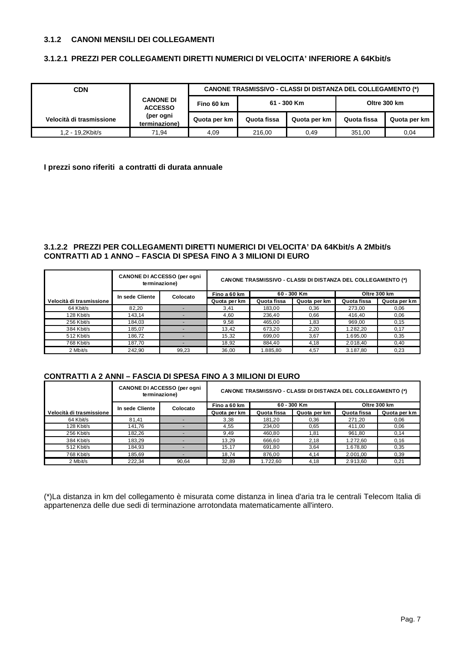#### **3.1.2 CANONI MENSILI DEI COLLEGAMENTI**

#### **3.1.2.1 PREZZI PER COLLEGAMENTI DIRETTI NUMERICI DI VELOCITA' INFERIORE A 64Kbit/s**

| <b>CDN</b>               |                                    | <b>CANONE TRASMISSIVO - CLASSI DI DISTANZA DEL COLLEGAMENTO (*)</b> |             |              |              |              |  |  |
|--------------------------|------------------------------------|---------------------------------------------------------------------|-------------|--------------|--------------|--------------|--|--|
|                          | <b>CANONE DI</b><br><b>ACCESSO</b> | Fino 60 km                                                          | 61 - 300 Km |              | Oltre 300 km |              |  |  |
| Velocità di trasmissione | (per ogni<br>terminazione)         | Quota per km                                                        | Quota fissa | Quota per km | Quota fissa  | Quota per km |  |  |
| 1.2 - 19.2Kbit/s         | 71.94                              | 4.09                                                                | 216,00      | 0,49         | 351,00       | 0,04         |  |  |

#### **I prezzi sono riferiti a contratti di durata annuale**

#### **3.1.2.2 PREZZI PER COLLEGAMENTI DIRETTI NUMERICI DI VELOCITA' DA 64Kbit/s A 2Mbit/s CONTRATTI AD 1 ANNO – FASCIA DI SPESA FINO A 3 MILIONI DI EURO**

|                          | <b>CANONE DI ACCESSO (per ogni</b><br>terminazione) |          | <b>CANONE TRASMISSIVO - CLASSI DI DISTANZA DEL COLLEGAMENTO (*)</b> |             |              |              |              |
|--------------------------|-----------------------------------------------------|----------|---------------------------------------------------------------------|-------------|--------------|--------------|--------------|
|                          | In sede Cliente                                     | Colocato | Fino a 60 km                                                        |             | 60 - 300 Km  | Oltre 300 km |              |
| Velocità di trasmissione |                                                     |          | Quota per km                                                        | Quota fissa | Quota per km | Quota fissa  | Quota per km |
| 64 Kbit/s                | 82.20                                               |          | 3.41                                                                | 183,00      | 0.36         | 273,00       | 0,06         |
| 128 Kbit/s               | 143,14                                              |          | 4.60                                                                | 236,40      | 0.66         | 416,40       | 0,06         |
| 256 Kbit/s               | 184.03                                              |          | 9,58                                                                | 465.00      | 1,83         | 969,00       | 0,15         |
| 384 Kbit/s               | 185,07                                              |          | 13.42                                                               | 673,20      | 2,20         | 1.282,20     | 0,17         |
| 512 Kbit/s               | 186,72                                              |          | 15.32                                                               | 699,00      | 3,67         | 1.695,00     | 0,35         |
| 768 Kbit/s               | 187,70                                              |          | 18,92                                                               | 884,40      | 4,18         | 2.018,40     | 0,40         |
| 2 Mbit/s                 | 242.90                                              | 99.23    | 36.00                                                               | 1.885.80    | 4.57         | 3.187.80     | 0.23         |

#### **CONTRATTI A 2 ANNI – FASCIA DI SPESA FINO A 3 MILIONI DI EURO**

|                          | CANONE DI ACCESSO (per ogni<br>terminazione) |          | <b>CANONE TRASMISSIVO - CLASSI DI DISTANZA DEL COLLEGAMENTO (*)</b> |             |              |             |              |  |
|--------------------------|----------------------------------------------|----------|---------------------------------------------------------------------|-------------|--------------|-------------|--------------|--|
|                          | In sede Cliente                              | Colocato | Fino a 60 km                                                        |             | 60 - 300 Km  |             | Oltre 300 km |  |
| Velocità di trasmissione |                                              |          | Quota per km                                                        | Quota fissa | Quota per km | Quota fissa | Quota per km |  |
| 64 Kbit/s                | 81.41                                        |          | 3,38                                                                | 181,20      | 0.36         | 271,20      | 0,06         |  |
| 128 Kbit/s               | 141,76                                       |          | 4,55                                                                | 234,00      | 0.65         | 411,00      | 0,06         |  |
| 256 Kbit/s               | 182,26                                       |          | 9,49                                                                | 460,80      | 1,81         | 961,80      | 0,14         |  |
| 384 Kbit/s               | 183,29                                       |          | 13,29                                                               | 666,60      | 2,18         | 1.272,60    | 0,16         |  |
| 512 Kbit/s               | 184,93                                       |          | 15,17                                                               | 691,80      | 3,64         | 1.678,80    | 0,35         |  |
| 768 Kbit/s               | 185,69                                       |          | 18.74                                                               | 876,00      | 4,14         | 2.001,00    | 0.39         |  |
| 2 Mbit/s                 | 222,34                                       | 90.64    | 32.89                                                               | 1.722.60    | 4,18         | 2.913.60    | 0.21         |  |

(\*)La distanza in km del collegamento è misurata come distanza in linea d'aria tra le centrali Telecom Italia di appartenenza delle due sedi di terminazione arrotondata matematicamente all'intero.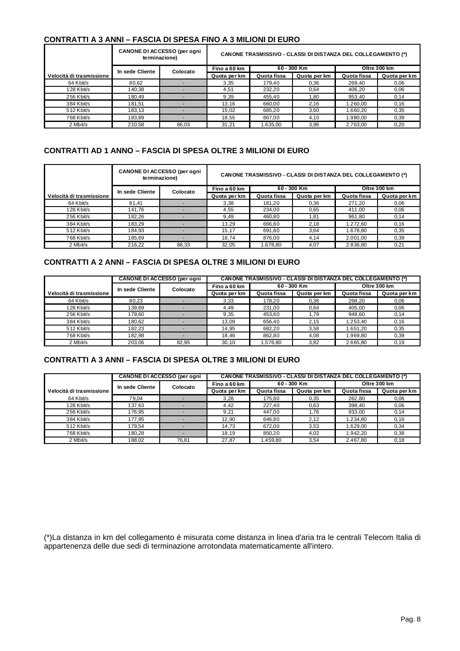## **CONTRATTI A 3 ANNI – FASCIA DI SPESA FINO A 3 MILIONI DI EURO**

|                          | <b>CANONE DI ACCESSO (per ogni</b><br>terminazione) |          | <b>CANONE TRASMISSIVO - CLASSI DI DISTANZA DEL COLLEGAMENTO (*)</b> |             |              |             |              |  |
|--------------------------|-----------------------------------------------------|----------|---------------------------------------------------------------------|-------------|--------------|-------------|--------------|--|
|                          | In sede Cliente                                     | Colocato | Fino a 60 km                                                        |             | 60 - 300 Km  |             | Oltre 300 km |  |
| Velocità di trasmissione |                                                     |          | Quota per km                                                        | Quota fissa | Quota per km | Quota fissa | Quota per km |  |
| 64 Kbit/s                | 80,62                                               |          | 3,35                                                                | 179,40      | 0.36         | 269,40      | 0,06         |  |
| 128 Kbit/s               | 140,38                                              |          | 4,51                                                                | 232,20      | 0,64         | 406,20      | 0,06         |  |
| 256 Kbit/s               | 180,49                                              |          | 9,39                                                                | 455,40      | 1,80         | 953,40      | 0.14         |  |
| 384 Kbit/s               | 181.51                                              |          | 13.16                                                               | 660.00      | 2,16         | 1.260.00    | 0.16         |  |
| 512 Kbit/s               | 183,13                                              |          | 15.02                                                               | 685,20      | 3,60         | 1.660,20    | 0,35         |  |
| 768 Kbit/s               | 183,89                                              |          | 18.55                                                               | 867,00      | 4,10         | 1.980,00    | 0,39         |  |
| 2 Mbit/s                 | 210.58                                              | 86.03    | 31,21                                                               | 1.635.00    | 3,96         | 2.763.00    | 0.20         |  |

#### **CONTRATTI AD 1 ANNO – FASCIA DI SPESA OLTRE 3 MILIONI DI EURO**

|                          | <b>CANONE DI ACCESSO (per ogni</b><br>terminazione) |          | <b>CANONE TRASMISSIVO - CLASSI DI DISTANZA DEL COLLEGAMENTO (*)</b> |             |              |              |              |
|--------------------------|-----------------------------------------------------|----------|---------------------------------------------------------------------|-------------|--------------|--------------|--------------|
|                          | In sede Cliente                                     | Colocato | Fino a 60 km                                                        |             | 60 - 300 Km  | Oltre 300 km |              |
| Velocità di trasmissione |                                                     |          | Quota per km                                                        | Quota fissa | Quota per km | Quota fissa  | Quota per km |
| 64 Kbit/s                | 81.41                                               |          | 3,38                                                                | 181,20      | 0.36         | 271,20       | 0.06         |
| 128 Kbit/s               | 141.76                                              |          | 4,55                                                                | 234.00      | 0.65         | 411,00       | 0,06         |
| 256 Kbit/s               | 182,26                                              |          | 9,49                                                                | 460,80      | 1,81         | 961,80       | 0.14         |
| 384 Kbit/s               | 183.29                                              |          | 13.29                                                               | 666,60      | 2,18         | 1.272,60     | 0,16         |
| 512 Kbit/s               | 184,93                                              |          | 15,17                                                               | 691,80      | 3,64         | 1.678.80     | 0,35         |
| 768 Kbit/s               | 185,69                                              |          | 18.74                                                               | 876,00      | 4,14         | 2.001,00     | 0.39         |
| 2 Mbit/s                 | 216.22                                              | 88.33    | 32.05                                                               | 1.678.80    | 4,07         | 2.836.80     | 0.21         |

#### **CONTRATTI A 2 ANNI – FASCIA DI SPESA OLTRE 3 MILIONI DI EURO**

|                          | <b>CANONE TRASMISSIVO - CLASSI DI DISTANZA DEL COLLEGAMENTO (*)</b> |          |              |             |              |              |              |
|--------------------------|---------------------------------------------------------------------|----------|--------------|-------------|--------------|--------------|--------------|
|                          | In sede Cliente                                                     | Colocato | Fino a 60 km | 60 - 300 Km |              | Oltre 300 km |              |
| Velocità di trasmissione |                                                                     |          | Quota per km | Quota fissa | Quota per km | Quota fissa  | Quota per km |
| 64 Kbit/s                | 80.23                                                               |          | 3,33         | 178,20      | 0,36         | 268,20       | 0,06         |
| 128 Kbit/s               | 139,69                                                              |          | 4,49         | 231,00      | 0.64         | 405,00       | 0,06         |
| 256 Kbit/s               | 179.60                                                              |          | 9,35         | 453,60      | 1,79         | 948,60       | 0,14         |
| 384 Kbit/s               | 180,62                                                              |          | 13,09        | 656,40      | 2,15         | 1.253,40     | 0,16         |
| 512 Kbit/s               | 182.23                                                              |          | 14,95        | 682,20      | 3,58         | 1.651.20     | 0,35         |
| 768 Kbit/s               | 182.98                                                              |          | 18.46        | 862.80      | 4,08         | 1.969.80     | 0,39         |
| 2 Mbit/s                 | 203.06                                                              | 82.95    | 30.10        | 1.576.80    | 3,82         | 2.665.80     | 0.19         |

#### **CONTRATTI A 3 ANNI – FASCIA DI SPESA OLTRE 3 MILIONI DI EURO**

| <b>CANONE DI ACCESSO (per ogni</b> |                             | <b>CANONE TRASMISSIVO - CLASSI DI DISTANZA DEL COLLEGAMENTO (*)</b> |              |             |              |              |              |
|------------------------------------|-----------------------------|---------------------------------------------------------------------|--------------|-------------|--------------|--------------|--------------|
|                                    | In sede Cliente<br>Colocato |                                                                     | Fino a 60 km | 60 - 300 Km |              | Oltre 300 km |              |
| Velocità di trasmissione           |                             |                                                                     | Quota per km | Quota fissa | Quota per km | Quota fissa  | Quota per km |
| 64 Kbit/s                          | 79,04                       |                                                                     | 3,28         | 175,80      | 0,35         | 262,80       | 0,06         |
| 128 Kbit/s                         | 137,63                      |                                                                     | 4.42         | 227,40      | 0,63         | 398.40       | 0,06         |
| 256 Kbit/s                         | 176,95                      |                                                                     | 9,21         | 447,00      | 1,76         | 933,00       | 0,14         |
| 384 Kbit/s                         | 177.95                      |                                                                     | 12,90        | 646,80      | 2,12         | 1.234,80     | 0,16         |
| 512 Kbit/s                         | 179.54                      |                                                                     | 14,73        | 672,00      | 3,53         | 1.629.00     | 0,34         |
| 768 Kbit/s                         | 180,28                      | $\overline{\phantom{a}}$                                            | 18,19        | 850,20      | 4,02         | 1.942.20     | 0.38         |
| 2 Mbit/s                           | 188,02                      | 76,81                                                               | 27,87        | 1.459,80    | 3,54         | 2.467,80     | 0,18         |

(\*)La distanza in km del collegamento è misurata come distanza in linea d'aria tra le centrali Telecom Italia di appartenenza delle due sedi di terminazione arrotondata matematicamente all'intero.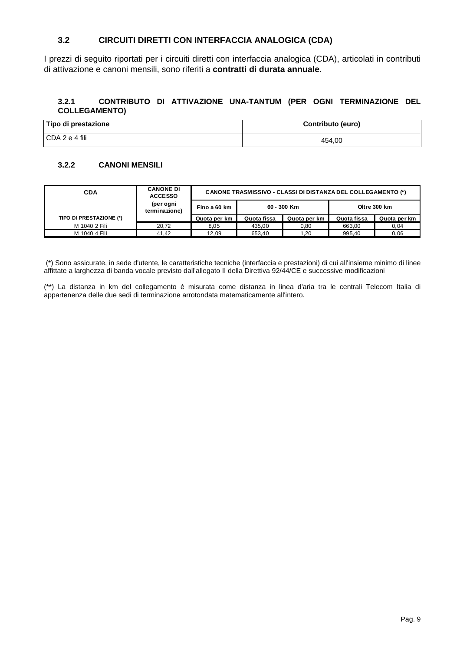## **3.2 CIRCUITI DIRETTI CON INTERFACCIA ANALOGICA (CDA)**

I prezzi di seguito riportati per i circuiti diretti con interfaccia analogica (CDA), articolati in contributi di attivazione e canoni mensili, sono riferiti a **contratti di durata annuale**.

#### **3.2.1 CONTRIBUTO DI ATTIVAZIONE UNA-TANTUM (PER OGNI TERMINAZIONE DEL COLLEGAMENTO)**

| Tipo di prestazione | Contributo (euro) |
|---------------------|-------------------|
| l CDA 2 e 4 fili    | 454,00            |

#### **3.2.2 CANONI MENSILI**

| <b>CDA</b>              | <b>CANONE DI</b><br><b>ACCESSO</b> | <b>CANONE TRASMISSIVO - CLASSI DI DISTANZA DEL COLLEGAMENTO (*)</b> |             |              |             |              |
|-------------------------|------------------------------------|---------------------------------------------------------------------|-------------|--------------|-------------|--------------|
|                         | (per ogni<br>terminazione)         | Fino a 60 km                                                        |             | 60 - 300 Km  |             | Oltre 300 km |
| TIPO DI PRESTAZIONE (*) |                                    | Quota per km                                                        | Quota fissa | Quota per km | Quota fissa | Quota per km |
| M 1040 2 Fili           | 20.72                              | 8,05                                                                | 435,00      | 0,80         | 663,00      | 0,04         |
| M 1040 4 Fili           | 41.42                              | 12.09                                                               | 653.40      | 1.20         | 995.40      | 0.06         |

 (\*) Sono assicurate, in sede d'utente, le caratteristiche tecniche (interfaccia e prestazioni) di cui all'insieme minimo di linee affittate a larghezza di banda vocale previsto dall'allegato II della Direttiva 92/44/CE e successive modificazioni

(\*\*) La distanza in km del collegamento è misurata come distanza in linea d'aria tra le centrali Telecom Italia di appartenenza delle due sedi di terminazione arrotondata matematicamente all'intero.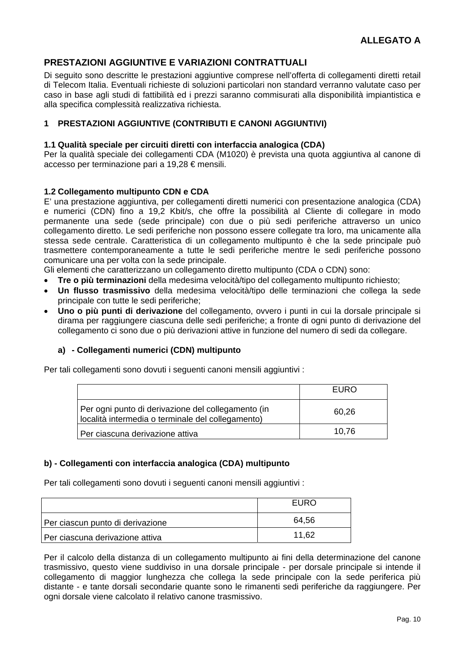## **PRESTAZIONI AGGIUNTIVE E VARIAZIONI CONTRATTUALI**

Di seguito sono descritte le prestazioni aggiuntive comprese nell'offerta di collegamenti diretti retail di Telecom Italia. Eventuali richieste di soluzioni particolari non standard verranno valutate caso per caso in base agli studi di fattibilità ed i prezzi saranno commisurati alla disponibilità impiantistica e alla specifica complessità realizzativa richiesta.

## **1 PRESTAZIONI AGGIUNTIVE (CONTRIBUTI E CANONI AGGIUNTIVI)**

#### **1.1 Qualità speciale per circuiti diretti con interfaccia analogica (CDA)**

Per la qualità speciale dei collegamenti CDA (M1020) è prevista una quota aggiuntiva al canone di accesso per terminazione pari a 19,28 € mensili.

#### **1.2 Collegamento multipunto CDN e CDA**

E' una prestazione aggiuntiva, per collegamenti diretti numerici con presentazione analogica (CDA) e numerici (CDN) fino a 19,2 Kbit/s, che offre la possibilità al Cliente di collegare in modo permanente una sede (sede principale) con due o più sedi periferiche attraverso un unico collegamento diretto. Le sedi periferiche non possono essere collegate tra loro, ma unicamente alla stessa sede centrale. Caratteristica di un collegamento multipunto è che la sede principale può trasmettere contemporaneamente a tutte le sedi periferiche mentre le sedi periferiche possono comunicare una per volta con la sede principale.

Gli elementi che caratterizzano un collegamento diretto multipunto (CDA o CDN) sono:

- **Tre o più terminazioni** della medesima velocità/tipo del collegamento multipunto richiesto;
- **Un flusso trasmissivo** della medesima velocità/tipo delle terminazioni che collega la sede principale con tutte le sedi periferiche;
- **Uno o più punti di derivazione** del collegamento, ovvero i punti in cui la dorsale principale si dirama per raggiungere ciascuna delle sedi periferiche; a fronte di ogni punto di derivazione del collegamento ci sono due o più derivazioni attive in funzione del numero di sedi da collegare.

#### **a) - Collegamenti numerici (CDN) multipunto**

Per tali collegamenti sono dovuti i seguenti canoni mensili aggiuntivi :

|                                                                                                         | EURO  |
|---------------------------------------------------------------------------------------------------------|-------|
| Per ogni punto di derivazione del collegamento (in<br>località intermedia o terminale del collegamento) | 60,26 |
| Per ciascuna derivazione attiva                                                                         | 10,76 |

#### **b) - Collegamenti con interfaccia analogica (CDA) multipunto**

Per tali collegamenti sono dovuti i seguenti canoni mensili aggiuntivi :

|                                  | EURO  |
|----------------------------------|-------|
| Per ciascun punto di derivazione | 64.56 |
| Per ciascuna derivazione attiva  | 11,62 |

Per il calcolo della distanza di un collegamento multipunto ai fini della determinazione del canone trasmissivo, questo viene suddiviso in una dorsale principale - per dorsale principale si intende il collegamento di maggior lunghezza che collega la sede principale con la sede periferica più distante - e tante dorsali secondarie quante sono le rimanenti sedi periferiche da raggiungere. Per ogni dorsale viene calcolato il relativo canone trasmissivo.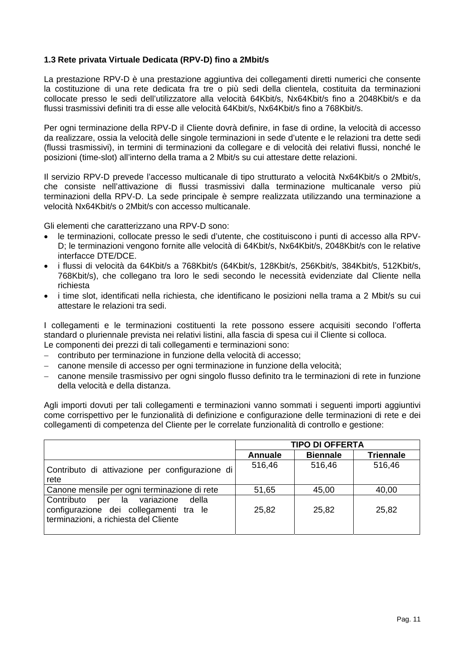## **1.3 Rete privata Virtuale Dedicata (RPV-D) fino a 2Mbit/s**

La prestazione RPV-D è una prestazione aggiuntiva dei collegamenti diretti numerici che consente la costituzione di una rete dedicata fra tre o più sedi della clientela, costituita da terminazioni collocate presso le sedi dell'utilizzatore alla velocità 64Kbit/s, Nx64Kbit/s fino a 2048Kbit/s e da flussi trasmissivi definiti tra di esse alle velocità 64Kbit/s, Nx64Kbit/s fino a 768Kbit/s.

Per ogni terminazione della RPV-D il Cliente dovrà definire, in fase di ordine, la velocità di accesso da realizzare, ossia la velocità delle singole terminazioni in sede d'utente e le relazioni tra dette sedi (flussi trasmissivi), in termini di terminazioni da collegare e di velocità dei relativi flussi, nonché le posizioni (time-slot) all'interno della trama a 2 Mbit/s su cui attestare dette relazioni.

Il servizio RPV-D prevede l'accesso multicanale di tipo strutturato a velocità Nx64Kbit/s o 2Mbit/s, che consiste nell'attivazione di flussi trasmissivi dalla terminazione multicanale verso più terminazioni della RPV-D. La sede principale è sempre realizzata utilizzando una terminazione a velocità Nx64Kbit/s o 2Mbit/s con accesso multicanale.

Gli elementi che caratterizzano una RPV-D sono:

- le terminazioni, collocate presso le sedi d'utente, che costituiscono i punti di accesso alla RPV-D; le terminazioni vengono fornite alle velocità di 64Kbit/s, Nx64Kbit/s, 2048Kbit/s con le relative interfacce DTE/DCE.
- i flussi di velocità da 64Kbit/s a 768Kbit/s (64Kbit/s, 128Kbit/s, 256Kbit/s, 384Kbit/s, 512Kbit/s, 768Kbit/s), che collegano tra loro le sedi secondo le necessità evidenziate dal Cliente nella richiesta
- i time slot, identificati nella richiesta, che identificano le posizioni nella trama a 2 Mbit/s su cui attestare le relazioni tra sedi.

I collegamenti e le terminazioni costituenti la rete possono essere acquisiti secondo l'offerta standard o pluriennale prevista nei relativi listini, alla fascia di spesa cui il Cliente si colloca. Le componenti dei prezzi di tali collegamenti e terminazioni sono:

- − contributo per terminazione in funzione della velocità di accesso;
- − canone mensile di accesso per ogni terminazione in funzione della velocità;
- − canone mensile trasmissivo per ogni singolo flusso definito tra le terminazioni di rete in funzione della velocità e della distanza.

Agli importi dovuti per tali collegamenti e terminazioni vanno sommati i seguenti importi aggiuntivi come corrispettivo per le funzionalità di definizione e configurazione delle terminazioni di rete e dei collegamenti di competenza del Cliente per le correlate funzionalità di controllo e gestione:

|                                                                                                                          |         | <b>TIPO DI OFFERTA</b> |                  |
|--------------------------------------------------------------------------------------------------------------------------|---------|------------------------|------------------|
|                                                                                                                          | Annuale | <b>Biennale</b>        | <b>Triennale</b> |
| Contributo di attivazione per configurazione di                                                                          | 516,46  | 516,46                 | 516,46           |
| rete                                                                                                                     |         |                        |                  |
| Canone mensile per ogni terminazione di rete                                                                             | 51,65   | 45,00                  | 40,00            |
| Contributo per la variazione<br>della<br>configurazione dei collegamenti tra le<br>terminazioni, a richiesta del Cliente | 25,82   | 25,82                  | 25,82            |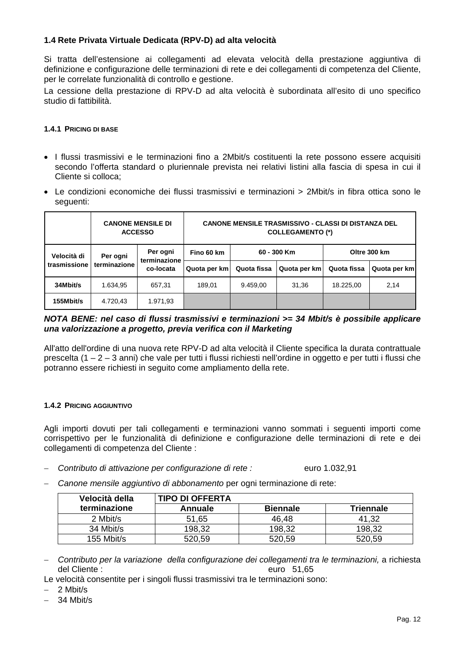## **1.4 Rete Privata Virtuale Dedicata (RPV-D) ad alta velocità**

Si tratta dell'estensione ai collegamenti ad elevata velocità della prestazione aggiuntiva di definizione e configurazione delle terminazioni di rete e dei collegamenti di competenza del Cliente, per le correlate funzionalità di controllo e gestione.

La cessione della prestazione di RPV-D ad alta velocità è subordinata all'esito di uno specifico studio di fattibilità.

#### **1.4.1 PRICING DI BASE**

- I flussi trasmissivi e le terminazioni fino a 2Mbit/s costituenti la rete possono essere acquisiti secondo l'offerta standard o pluriennale prevista nei relativi listini alla fascia di spesa in cui il Cliente si colloca;
- Le condizioni economiche dei flussi trasmissivi e terminazioni > 2Mbit/s in fibra ottica sono le seguenti:

|              | <b>CANONE MENSILE DI</b><br><b>ACCESSO</b> |                                       | <b>CANONE MENSILE TRASMISSIVO - CLASSI DI DISTANZA DEL</b><br><b>COLLEGAMENTO (*)</b> |             |              |              |              |
|--------------|--------------------------------------------|---------------------------------------|---------------------------------------------------------------------------------------|-------------|--------------|--------------|--------------|
| Velocità di  | Per ogni                                   | Per ogni<br>terminazione<br>co-locata | Fino 60 km                                                                            | 60 - 300 Km |              | Oltre 300 km |              |
| trasmissione | terminazione                               |                                       | Quota per km                                                                          | Quota fissa | Quota per km | Quota fissa  | Quota per km |
| 34Mbit/s     | 1.634.95                                   | 657,31                                | 189.01                                                                                | 9.459.00    | 31,36        | 18.225.00    | 2,14         |
| 155Mbit/s    | 4.720,43                                   | 1.971,93                              |                                                                                       |             |              |              |              |

## *NOTA BENE: nel caso di flussi trasmissivi e terminazioni >= 34 Mbit/s è possibile applicare una valorizzazione a progetto, previa verifica con il Marketing*

All'atto dell'ordine di una nuova rete RPV-D ad alta velocità il Cliente specifica la durata contrattuale prescelta (1 – 2 – 3 anni) che vale per tutti i flussi richiesti nell'ordine in oggetto e per tutti i flussi che potranno essere richiesti in seguito come ampliamento della rete.

#### **1.4.2 PRICING AGGIUNTIVO**

Agli importi dovuti per tali collegamenti e terminazioni vanno sommati i seguenti importi come corrispettivo per le funzionalità di definizione e configurazione delle terminazioni di rete e dei collegamenti di competenza del Cliente :

- − *Contributo di attivazione per configurazione di rete :* euro 1.032,91
- − *Canone mensile aggiuntivo di abbonamento* per ogni terminazione di rete:

| Velocità della | <b>TIPO DI OFFERTA</b> |                 |                  |  |  |
|----------------|------------------------|-----------------|------------------|--|--|
| terminazione   | Annuale                | <b>Biennale</b> | <b>Triennale</b> |  |  |
| 2 Mbit/s       | 51,65                  | 46.48           | 41,32            |  |  |
| 34 Mbit/s      | 198,32                 | 198,32          | 198,32           |  |  |
| 155 Mbit/s     | 520,59                 | 520,59          | 520,59           |  |  |

− *Contributo per la variazione della configurazione dei collegamenti tra le terminazioni,* a richiesta del Cliente :euro 51,65

Le velocità consentite per i singoli flussi trasmissivi tra le terminazioni sono:

− 2 Mbit/s

− 34 Mbit/s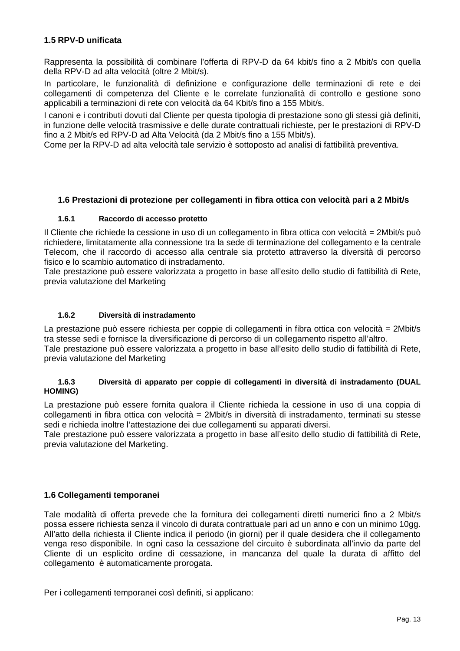## **1.5 RPV-D unificata**

Rappresenta la possibilità di combinare l'offerta di RPV-D da 64 kbit/s fino a 2 Mbit/s con quella della RPV-D ad alta velocità (oltre 2 Mbit/s).

In particolare, le funzionalità di definizione e configurazione delle terminazioni di rete e dei collegamenti di competenza del Cliente e le correlate funzionalità di controllo e gestione sono applicabili a terminazioni di rete con velocità da 64 Kbit/s fino a 155 Mbit/s.

I canoni e i contributi dovuti dal Cliente per questa tipologia di prestazione sono gli stessi già definiti, in funzione delle velocità trasmissive e delle durate contrattuali richieste, per le prestazioni di RPV-D fino a 2 Mbit/s ed RPV-D ad Alta Velocità (da 2 Mbit/s fino a 155 Mbit/s).

Come per la RPV-D ad alta velocità tale servizio è sottoposto ad analisi di fattibilità preventiva.

#### **1.6 Prestazioni di protezione per collegamenti in fibra ottica con velocità pari a 2 Mbit/s**

#### **1.6.1 Raccordo di accesso protetto**

Il Cliente che richiede la cessione in uso di un collegamento in fibra ottica con velocità = 2Mbit/s può richiedere, limitatamente alla connessione tra la sede di terminazione del collegamento e la centrale Telecom, che il raccordo di accesso alla centrale sia protetto attraverso la diversità di percorso fisico e lo scambio automatico di instradamento.

Tale prestazione può essere valorizzata a progetto in base all'esito dello studio di fattibilità di Rete, previa valutazione del Marketing

#### **1.6.2 Diversità di instradamento**

La prestazione può essere richiesta per coppie di collegamenti in fibra ottica con velocità = 2Mbit/s tra stesse sedi e fornisce la diversificazione di percorso di un collegamento rispetto all'altro. Tale prestazione può essere valorizzata a progetto in base all'esito dello studio di fattibilità di Rete, previa valutazione del Marketing

#### **1.6.3 Diversità di apparato per coppie di collegamenti in diversità di instradamento (DUAL HOMING)**

La prestazione può essere fornita qualora il Cliente richieda la cessione in uso di una coppia di collegamenti in fibra ottica con velocità = 2Mbit/s in diversità di instradamento, terminati su stesse sedi e richieda inoltre l'attestazione dei due collegamenti su apparati diversi.

Tale prestazione può essere valorizzata a progetto in base all'esito dello studio di fattibilità di Rete, previa valutazione del Marketing.

#### **1.6 Collegamenti temporanei**

Tale modalità di offerta prevede che la fornitura dei collegamenti diretti numerici fino a 2 Mbit/s possa essere richiesta senza il vincolo di durata contrattuale pari ad un anno e con un minimo 10gg. All'atto della richiesta il Cliente indica il periodo (in giorni) per il quale desidera che il collegamento venga reso disponibile. In ogni caso la cessazione del circuito è subordinata all'invio da parte del Cliente di un esplicito ordine di cessazione, in mancanza del quale la durata di affitto del collegamento è automaticamente prorogata.

Per i collegamenti temporanei così definiti, si applicano: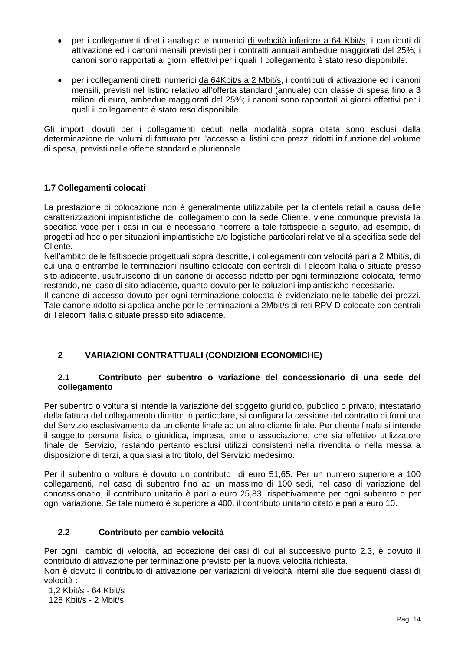- per i collegamenti diretti analogici e numerici di velocità inferiore a 64 Kbit/s, i contributi di attivazione ed i canoni mensili previsti per i contratti annuali ambedue maggiorati del 25%; i canoni sono rapportati ai giorni effettivi per i quali il collegamento è stato reso disponibile.
- per i collegamenti diretti numerici da 64Kbit/s a 2 Mbit/s, i contributi di attivazione ed i canoni mensili, previsti nel listino relativo all'offerta standard (annuale) con classe di spesa fino a 3 milioni di euro, ambedue maggiorati del 25%; i canoni sono rapportati ai giorni effettivi per i quali il collegamento è stato reso disponibile.

Gli importi dovuti per i collegamenti ceduti nella modalità sopra citata sono esclusi dalla determinazione dei volumi di fatturato per l'accesso ai listini con prezzi ridotti in funzione del volume di spesa, previsti nelle offerte standard e pluriennale.

## **1.7 Collegamenti colocati**

La prestazione di colocazione non è generalmente utilizzabile per la clientela retail a causa delle caratterizzazioni impiantistiche del collegamento con la sede Cliente, viene comunque prevista la specifica voce per i casi in cui è necessario ricorrere a tale fattispecie a seguito, ad esempio, di progetti ad hoc o per situazioni impiantistiche e/o logistiche particolari relative alla specifica sede del Cliente.

Nell'ambito delle fattispecie progettuali sopra descritte, i collegamenti con velocità pari a 2 Mbit/s, di cui una o entrambe le terminazioni risultino colocate con centrali di Telecom Italia o situate presso sito adiacente, usufruiscono di un canone di accesso ridotto per ogni terminazione colocata, fermo restando, nel caso di sito adiacente, quanto dovuto per le soluzioni impiantistiche necessarie.

Il canone di accesso dovuto per ogni terminazione colocata è evidenziato nelle tabelle dei prezzi. Tale canone ridotto si applica anche per le terminazioni a 2Mbit/s di reti RPV-D colocate con centrali di Telecom Italia o situate presso sito adiacente.

## **2 VARIAZIONI CONTRATTUALI (CONDIZIONI ECONOMICHE)**

#### **2.1 Contributo per subentro o variazione del concessionario di una sede del collegamento**

Per subentro o voltura si intende la variazione del soggetto giuridico, pubblico o privato, intestatario della fattura del collegamento diretto: in particolare, si configura la cessione del contratto di fornitura del Servizio esclusivamente da un cliente finale ad un altro cliente finale. Per cliente finale si intende il soggetto persona fisica o giuridica, impresa, ente o associazione, che sia effettivo utilizzatore finale del Servizio, restando pertanto esclusi utilizzi consistenti nella rivendita o nella messa a disposizione di terzi, a qualsiasi altro titolo, del Servizio medesimo.

Per il subentro o voltura è dovuto un contributo di euro 51,65. Per un numero superiore a 100 collegamenti, nel caso di subentro fino ad un massimo di 100 sedi, nel caso di variazione del concessionario, il contributo unitario è pari a euro 25,83, rispettivamente per ogni subentro o per ogni variazione. Se tale numero è superiore a 400, il contributo unitario citato è pari a euro 10.

#### **2.2 Contributo per cambio velocità**

Per ogni cambio di velocità, ad eccezione dei casi di cui al successivo punto 2.3, è dovuto il contributo di attivazione per terminazione previsto per la nuova velocità richiesta.

Non è dovuto il contributo di attivazione per variazioni di velocità interni alle due seguenti classi di velocità :

 1,2 Kbit/s - 64 Kbit/s 128 Kbit/s - 2 Mbit/s.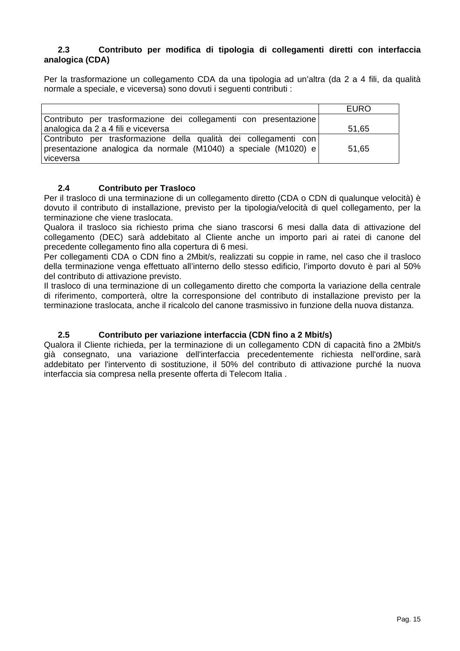#### **2.3 Contributo per modifica di tipologia di collegamenti diretti con interfaccia analogica (CDA)**

Per la trasformazione un collegamento CDA da una tipologia ad un'altra (da 2 a 4 fili, da qualità normale a speciale, e viceversa) sono dovuti i seguenti contributi :

|                                                                                                                                                  | <b>EURO</b> |
|--------------------------------------------------------------------------------------------------------------------------------------------------|-------------|
| Contributo per trasformazione dei collegamenti con presentazione                                                                                 |             |
| analogica da 2 a 4 fili e viceversa                                                                                                              | 51,65       |
| Contributo per trasformazione della qualità dei collegamenti con<br>presentazione analogica da normale (M1040) a speciale (M1020) e<br>viceversa | 51,65       |

#### **2.4 Contributo per Trasloco**

Per il trasloco di una terminazione di un collegamento diretto (CDA o CDN di qualunque velocità) è dovuto il contributo di installazione, previsto per la tipologia/velocità di quel collegamento, per la terminazione che viene traslocata.

Qualora il trasloco sia richiesto prima che siano trascorsi 6 mesi dalla data di attivazione del collegamento (DEC) sarà addebitato al Cliente anche un importo pari ai ratei di canone del precedente collegamento fino alla copertura di 6 mesi.

Per collegamenti CDA o CDN fino a 2Mbit/s, realizzati su coppie in rame, nel caso che il trasloco della terminazione venga effettuato all'interno dello stesso edificio, l'importo dovuto è pari al 50% del contributo di attivazione previsto.

Il trasloco di una terminazione di un collegamento diretto che comporta la variazione della centrale di riferimento, comporterà, oltre la corresponsione del contributo di installazione previsto per la terminazione traslocata, anche il ricalcolo del canone trasmissivo in funzione della nuova distanza.

## **2.5 Contributo per variazione interfaccia (CDN fino a 2 Mbit/s)**

Qualora il Cliente richieda, per la terminazione di un collegamento CDN di capacità fino a 2Mbit/s già consegnato, una variazione dell'interfaccia precedentemente richiesta nell'ordine, sarà addebitato per l'intervento di sostituzione, il 50% del contributo di attivazione purché la nuova interfaccia sia compresa nella presente offerta di Telecom Italia .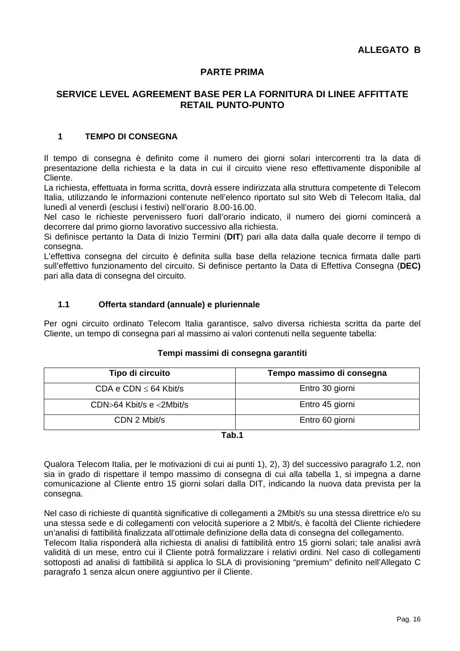## **PARTE PRIMA**

## **SERVICE LEVEL AGREEMENT BASE PER LA FORNITURA DI LINEE AFFITTATE RETAIL PUNTO-PUNTO**

## **1 TEMPO DI CONSEGNA**

Il tempo di consegna è definito come il numero dei giorni solari intercorrenti tra la data di presentazione della richiesta e la data in cui il circuito viene reso effettivamente disponibile al Cliente.

La richiesta, effettuata in forma scritta, dovrà essere indirizzata alla struttura competente di Telecom Italia, utilizzando le informazioni contenute nell'elenco riportato sul sito Web di Telecom Italia, dal lunedì al venerdì (esclusi i festivi) nell'orario 8.00-16.00.

Nel caso le richieste pervenissero fuori dall'orario indicato, il numero dei giorni comincerà a decorrere dal primo giorno lavorativo successivo alla richiesta.

Si definisce pertanto la Data di Inizio Termini (**DIT**) pari alla data dalla quale decorre il tempo di consegna.

L'effettiva consegna del circuito è definita sulla base della relazione tecnica firmata dalle parti sull'effettivo funzionamento del circuito. Si definisce pertanto la Data di Effettiva Consegna (**DEC)**  pari alla data di consegna del circuito.

#### **1.1 Offerta standard (annuale) e pluriennale**

Per ogni circuito ordinato Telecom Italia garantisce, salvo diversa richiesta scritta da parte del Cliente, un tempo di consegna pari al massimo ai valori contenuti nella seguente tabella:

#### **Tempi massimi di consegna garantiti**

| Tipo di circuito           | Tempo massimo di consegna |
|----------------------------|---------------------------|
| CDA e CDN $\leq$ 64 Kbit/s | Entro 30 giorni           |
| CDN>64 Kbit/s e <2Mbit/s   | Entro 45 giorni           |
| CDN 2 Mbit/s               | Entro 60 giorni           |

#### **Tab.1**

Qualora Telecom Italia, per le motivazioni di cui ai punti 1), 2), 3) del successivo paragrafo 1.2, non sia in grado di rispettare il tempo massimo di consegna di cui alla tabella 1, si impegna a darne comunicazione al Cliente entro 15 giorni solari dalla DIT, indicando la nuova data prevista per la consegna.

Nel caso di richieste di quantità significative di collegamenti a 2Mbit/s su una stessa direttrice e/o su una stessa sede e di collegamenti con velocità superiore a 2 Mbit/s, è facoltà del Cliente richiedere un'analisi di fattibilità finalizzata all'ottimale definizione della data di consegna del collegamento. Telecom Italia risponderà alla richiesta di analisi di fattibilità entro 15 giorni solari; tale analisi avrà validità di un mese, entro cui il Cliente potrà formalizzare i relativi ordini. Nel caso di collegamenti sottoposti ad analisi di fattibilità si applica lo SLA di provisioning "premium" definito nell'Allegato C paragrafo 1 senza alcun onere aggiuntivo per il Cliente.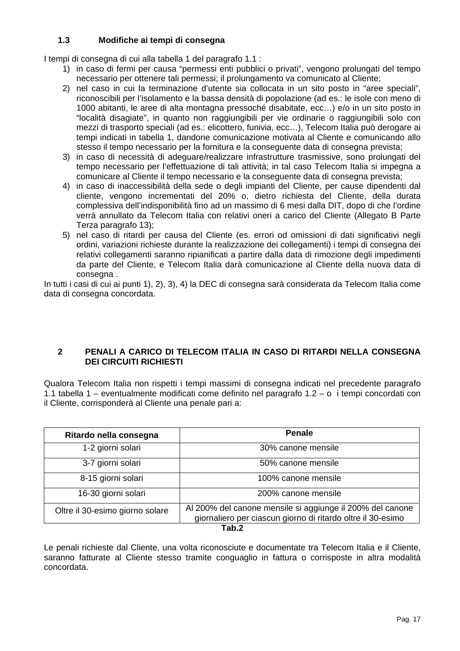## **1.3 Modifiche ai tempi di consegna**

I tempi di consegna di cui alla tabella 1 del paragrafo 1.1 :

- 1) in caso di fermi per causa "permessi enti pubblici o privati", vengono prolungati del tempo necessario per ottenere tali permessi; il prolungamento va comunicato al Cliente;
- 2) nel caso in cui la terminazione d'utente sia collocata in un sito posto in "aree speciali", riconoscibili per l'isolamento e la bassa densità di popolazione (ad es.: le isole con meno di 1000 abitanti, le aree di alta montagna pressoché disabitate, ecc…) e/o in un sito posto in "località disagiate", in quanto non raggiungibili per vie ordinarie o raggiungibili solo con mezzi di trasporto speciali (ad es.: elicottero, funivia, ecc…), Telecom Italia può derogare ai tempi indicati in tabella 1, dandone comunicazione motivata al Cliente e comunicando allo stesso il tempo necessario per la fornitura e la conseguente data di consegna prevista;
- 3) in caso di necessità di adeguare/realizzare infrastrutture trasmissive, sono prolungati del tempo necessario per l'effettuazione di tali attività; in tal caso Telecom Italia si impegna a comunicare al Cliente il tempo necessario e la conseguente data di consegna prevista;
- 4) in caso di inaccessibilità della sede o degli impianti del Cliente, per cause dipendenti dal cliente, vengono incrementati del 20% o, dietro richiesta del Cliente, della durata complessiva dell'indisponibilità fino ad un massimo di 6 mesi dalla DIT, dopo di che l'ordine verrà annullato da Telecom Italia con relativi oneri a carico del Cliente (Allegato B Parte Terza paragrafo 13);
- 5) nel caso di ritardi per causa del Cliente (es. errori od omissioni di dati significativi negli ordini, variazioni richieste durante la realizzazione dei collegamenti) i tempi di consegna dei relativi collegamenti saranno ripianificati a partire dalla data di rimozione degli impedimenti da parte del Cliente, e Telecom Italia darà comunicazione al Cliente della nuova data di consegna .

In tutti i casi di cui ai punti 1), 2), 3), 4) la DEC di consegna sarà considerata da Telecom Italia come data di consegna concordata.

## **2 PENALI A CARICO DI TELECOM ITALIA IN CASO DI RITARDI NELLA CONSEGNA DEI CIRCUITI RICHIESTI**

Qualora Telecom Italia non rispetti i tempi massimi di consegna indicati nel precedente paragrafo 1.1 tabella 1 – eventualmente modificati come definito nel paragrafo 1.2 – o i tempi concordati con il Cliente, corrisponderà al Cliente una penale pari a:

| Ritardo nella consegna          | <b>Penale</b>                                                                                                            |  |
|---------------------------------|--------------------------------------------------------------------------------------------------------------------------|--|
| 1-2 giorni solari               | 30% canone mensile                                                                                                       |  |
| 3-7 giorni solari               | 50% canone mensile                                                                                                       |  |
| 8-15 giorni solari              | 100% canone mensile                                                                                                      |  |
| 16-30 giorni solari             | 200% canone mensile                                                                                                      |  |
| Oltre il 30-esimo giorno solare | Al 200% del canone mensile si aggiunge il 200% del canone<br>giornaliero per ciascun giorno di ritardo oltre il 30-esimo |  |
| Tab.2                           |                                                                                                                          |  |

Le penali richieste dal Cliente, una volta riconosciute e documentate tra Telecom Italia e il Cliente, saranno fatturate al Cliente stesso tramite conguaglio in fattura o corrisposte in altra modalità concordata.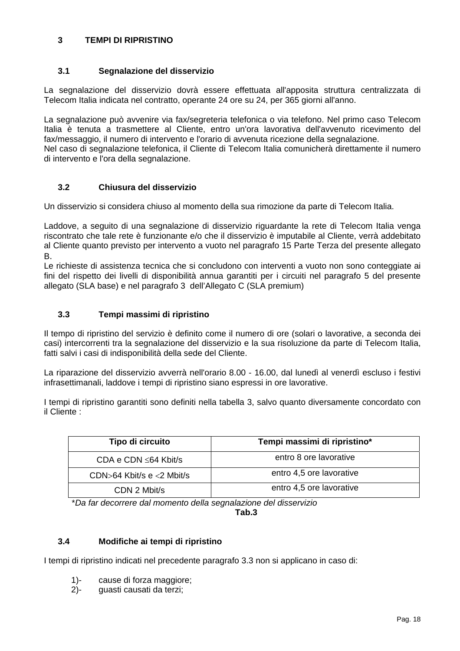## **3 TEMPI DI RIPRISTINO**

## **3.1 Segnalazione del disservizio**

La segnalazione del disservizio dovrà essere effettuata all'apposita struttura centralizzata di Telecom Italia indicata nel contratto, operante 24 ore su 24, per 365 giorni all'anno.

La segnalazione può avvenire via fax/segreteria telefonica o via telefono. Nel primo caso Telecom Italia è tenuta a trasmettere al Cliente, entro un'ora lavorativa dell'avvenuto ricevimento del fax/messaggio, il numero di intervento e l'orario di avvenuta ricezione della segnalazione. Nel caso di segnalazione telefonica, il Cliente di Telecom Italia comunicherà direttamente il numero di intervento e l'ora della segnalazione.

## **3.2 Chiusura del disservizio**

Un disservizio si considera chiuso al momento della sua rimozione da parte di Telecom Italia.

Laddove, a seguito di una segnalazione di disservizio riguardante la rete di Telecom Italia venga riscontrato che tale rete è funzionante e/o che il disservizio è imputabile al Cliente, verrà addebitato al Cliente quanto previsto per intervento a vuoto nel paragrafo 15 Parte Terza del presente allegato B.

Le richieste di assistenza tecnica che si concludono con interventi a vuoto non sono conteggiate ai fini del rispetto dei livelli di disponibilità annua garantiti per i circuiti nel paragrafo 5 del presente allegato (SLA base) e nel paragrafo 3 dell'Allegato C (SLA premium)

## **3.3 Tempi massimi di ripristino**

Il tempo di ripristino del servizio è definito come il numero di ore (solari o lavorative, a seconda dei casi) intercorrenti tra la segnalazione del disservizio e la sua risoluzione da parte di Telecom Italia, fatti salvi i casi di indisponibilità della sede del Cliente.

La riparazione del disservizio avverrà nell'orario 8.00 - 16.00, dal lunedì al venerdì escluso i festivi infrasettimanali, laddove i tempi di ripristino siano espressi in ore lavorative.

I tempi di ripristino garantiti sono definiti nella tabella 3, salvo quanto diversamente concordato con il Cliente :

| Tipo di circuito                | Tempi massimi di ripristino* |
|---------------------------------|------------------------------|
| CDA e CDN $\leq 64$ Kbit/s      | entro 8 ore lavorative       |
| CDN $>64$ Kbit/s e $<$ 2 Mbit/s | entro 4,5 ore lavorative     |
| CDN 2 Mbit/s                    | entro 4,5 ore lavorative     |

\**Da far decorrere dal momento della segnalazione del disservizio*

**Tab.3** 

#### **3.4 Modifiche ai tempi di ripristino**

I tempi di ripristino indicati nel precedente paragrafo 3.3 non si applicano in caso di:

- 1)- cause di forza maggiore;
- 2)- guasti causati da terzi;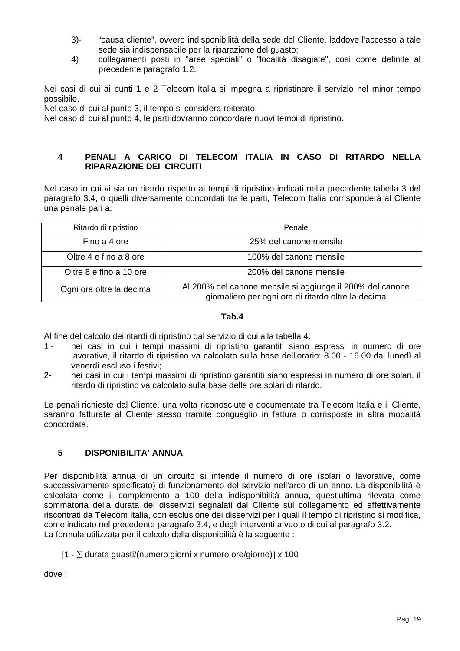- 3)- "causa cliente", ovvero indisponibilità della sede del Cliente, laddove l'accesso a tale sede sia indispensabile per la riparazione del guasto;
- 4) collegamenti posti in "aree speciali" o "località disagiate", così come definite al precedente paragrafo 1.2.

Nei casi di cui ai punti 1 e 2 Telecom Italia si impegna a ripristinare il servizio nel minor tempo possibile.

Nel caso di cui al punto 3, il tempo si considera reiterato.

Nel caso di cui al punto 4, le parti dovranno concordare nuovi tempi di ripristino.

## **4 PENALI A CARICO DI TELECOM ITALIA IN CASO DI RITARDO NELLA RIPARAZIONE DEI CIRCUITI**

Nel caso in cui vi sia un ritardo rispetto ai tempi di ripristino indicati nella precedente tabella 3 del paragrafo 3.4, o quelli diversamente concordati tra le parti, Telecom Italia corrisponderà al Cliente una penale pari a:

| Ritardo di ripristino    | Penale                                                                                                           |
|--------------------------|------------------------------------------------------------------------------------------------------------------|
| Fino a 4 ore             | 25% del canone mensile                                                                                           |
| Oltre 4 e fino a 8 ore   | 100% del canone mensile                                                                                          |
| Oltre 8 e fino a 10 ore  | 200% del canone mensile                                                                                          |
| Ogni ora oltre la decima | Al 200% del canone mensile si aggiunge il 200% del canone<br>giornaliero per ogni ora di ritardo oltre la decima |

## **Tab.4**

Al fine del calcolo dei ritardi di ripristino dal servizio di cui alla tabella 4:

- 1 nei casi in cui i tempi massimi di ripristino garantiti siano espressi in numero di ore lavorative, il ritardo di ripristino va calcolato sulla base dell'orario: 8.00 - 16.00 dal lunedì al venerdì escluso i festivi;
- 2- nei casi in cui i tempi massimi di ripristino garantiti siano espressi in numero di ore solari, il ritardo di ripristino va calcolato sulla base delle ore solari di ritardo.

Le penali richieste dal Cliente, una volta riconosciute e documentate tra Telecom Italia e il Cliente, saranno fatturate al Cliente stesso tramite conguaglio in fattura o corrisposte in altra modalità concordata.

#### **5 DISPONIBILITA' ANNUA**

Per disponibilità annua di un circuito si intende il numero di ore (solari o lavorative, come successivamente specificato) di funzionamento del servizio nell'arco di un anno. La disponibilità è calcolata come il complemento a 100 della indisponibilità annua, quest'ultima rilevata come sommatoria della durata dei disservizi segnalati dal Cliente sul collegamento ed effettivamente riscontrati da Telecom Italia, con esclusione dei disservizi per i quali il tempo di ripristino si modifica, come indicato nel precedente paragrafo 3.4, e degli interventi a vuoto di cui al paragrafo 3.2. La formula utilizzata per il calcolo della disponibilità è la seguente :

 $[1 - \Sigma$  durata guasti/(numero giorni x numero ore/giorno)] x 100

dove :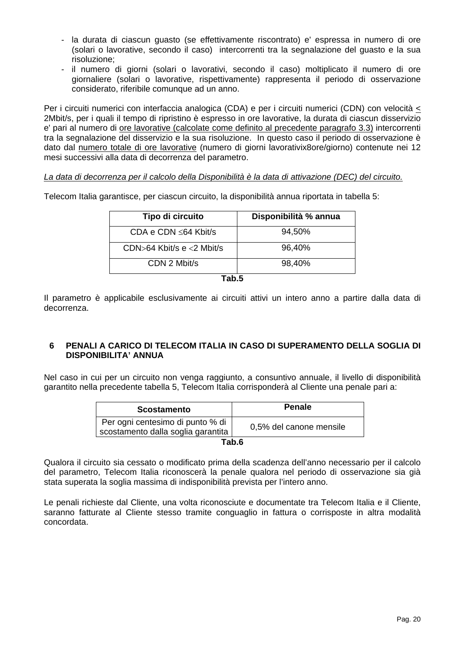- la durata di ciascun guasto (se effettivamente riscontrato) e' espressa in numero di ore (solari o lavorative, secondo il caso) intercorrenti tra la segnalazione del guasto e la sua risoluzione;
- il numero di giorni (solari o lavorativi, secondo il caso) moltiplicato il numero di ore giornaliere (solari o lavorative, rispettivamente) rappresenta il periodo di osservazione considerato, riferibile comunque ad un anno.

Per i circuiti numerici con interfaccia analogica (CDA) e per i circuiti numerici (CDN) con velocità < 2Mbit/s, per i quali il tempo di ripristino è espresso in ore lavorative, la durata di ciascun disservizio e' pari al numero di ore lavorative (calcolate come definito al precedente paragrafo 3.3) intercorrenti tra la segnalazione del disservizio e la sua risoluzione. In questo caso il periodo di osservazione è dato dal numero totale di ore lavorative (numero di giorni lavorativix8ore/giorno) contenute nei 12 mesi successivi alla data di decorrenza del parametro.

#### *La data di decorrenza per il calcolo della Disponibilità è la data di attivazione (DEC) del circuito.*

Telecom Italia garantisce, per ciascun circuito, la disponibilità annua riportata in tabella 5:

| Tipo di circuito                 | Disponibilità % annua |
|----------------------------------|-----------------------|
| CDA e CDN $\leq 64$ Kbit/s       | 94,50%                |
| $CDN > 64$ Kbit/s e $<$ 2 Mbit/s | 96,40%                |
| CDN 2 Mbit/s                     | 98,40%                |
|                                  |                       |

**Tab.5** 

Il parametro è applicabile esclusivamente ai circuiti attivi un intero anno a partire dalla data di decorrenza.

#### **6 PENALI A CARICO DI TELECOM ITALIA IN CASO DI SUPERAMENTO DELLA SOGLIA DI DISPONIBILITA' ANNUA**

Nel caso in cui per un circuito non venga raggiunto, a consuntivo annuale, il livello di disponibilità garantito nella precedente tabella 5, Telecom Italia corrisponderà al Cliente una penale pari a:

| <b>Scostamento</b>                                                     | <b>Penale</b>           |
|------------------------------------------------------------------------|-------------------------|
| Per ogni centesimo di punto % di<br>scostamento dalla soglia garantita | 0,5% del canone mensile |
| таһ б                                                                  |                         |

**Tab.6** 

Qualora il circuito sia cessato o modificato prima della scadenza dell'anno necessario per il calcolo del parametro, Telecom Italia riconoscerà la penale qualora nel periodo di osservazione sia già stata superata la soglia massima di indisponibilità prevista per l'intero anno.

Le penali richieste dal Cliente, una volta riconosciute e documentate tra Telecom Italia e il Cliente, saranno fatturate al Cliente stesso tramite conguaglio in fattura o corrisposte in altra modalità concordata.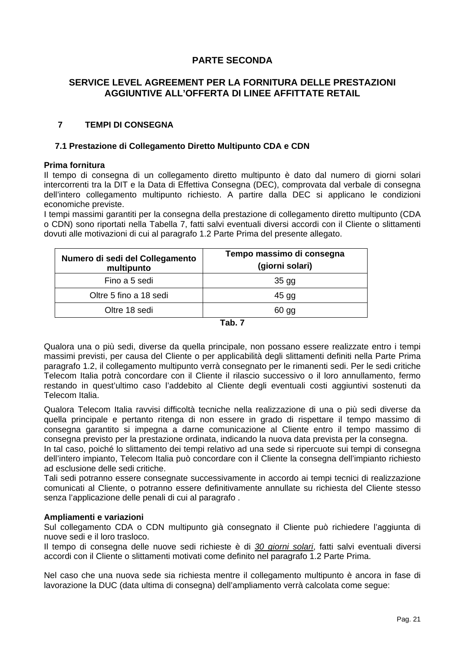## **PARTE SECONDA**

## **SERVICE LEVEL AGREEMENT PER LA FORNITURA DELLE PRESTAZIONI AGGIUNTIVE ALL'OFFERTA DI LINEE AFFITTATE RETAIL**

## **7 TEMPI DI CONSEGNA**

#### **7.1 Prestazione di Collegamento Diretto Multipunto CDA e CDN**

#### **Prima fornitura**

Il tempo di consegna di un collegamento diretto multipunto è dato dal numero di giorni solari intercorrenti tra la DIT e la Data di Effettiva Consegna (DEC), comprovata dal verbale di consegna dell'intero collegamento multipunto richiesto. A partire dalla DEC si applicano le condizioni economiche previste.

I tempi massimi garantiti per la consegna della prestazione di collegamento diretto multipunto (CDA o CDN) sono riportati nella Tabella 7, fatti salvi eventuali diversi accordi con il Cliente o slittamenti dovuti alle motivazioni di cui al paragrafo 1.2 Parte Prima del presente allegato.

| Numero di sedi del Collegamento<br>multipunto | Tempo massimo di consegna<br>(giorni solari) |
|-----------------------------------------------|----------------------------------------------|
| Fino a 5 sedi                                 | $35$ gg                                      |
| Oltre 5 fino a 18 sedi                        | $45$ gg                                      |
| Oltre 18 sedi                                 | 60 gg                                        |
|                                               |                                              |

**Tab. 7** 

Qualora una o più sedi, diverse da quella principale, non possano essere realizzate entro i tempi massimi previsti, per causa del Cliente o per applicabilità degli slittamenti definiti nella Parte Prima paragrafo 1.2, il collegamento multipunto verrà consegnato per le rimanenti sedi. Per le sedi critiche Telecom Italia potrà concordare con il Cliente il rilascio successivo o il loro annullamento, fermo restando in quest'ultimo caso l'addebito al Cliente degli eventuali costi aggiuntivi sostenuti da Telecom Italia.

Qualora Telecom Italia ravvisi difficoltà tecniche nella realizzazione di una o più sedi diverse da quella principale e pertanto ritenga di non essere in grado di rispettare il tempo massimo di consegna garantito si impegna a darne comunicazione al Cliente entro il tempo massimo di consegna previsto per la prestazione ordinata, indicando la nuova data prevista per la consegna.

In tal caso, poiché lo slittamento dei tempi relativo ad una sede si ripercuote sui tempi di consegna dell'intero impianto, Telecom Italia può concordare con il Cliente la consegna dell'impianto richiesto ad esclusione delle sedi critiche.

Tali sedi potranno essere consegnate successivamente in accordo ai tempi tecnici di realizzazione comunicati al Cliente, o potranno essere definitivamente annullate su richiesta del Cliente stesso senza l'applicazione delle penali di cui al paragrafo .

#### **Ampliamenti e variazioni**

Sul collegamento CDA o CDN multipunto già consegnato il Cliente può richiedere l'aggiunta di nuove sedi e il loro trasloco.

Il tempo di consegna delle nuove sedi richieste è di *30 giorni solari*, fatti salvi eventuali diversi accordi con il Cliente o slittamenti motivati come definito nel paragrafo 1.2 Parte Prima.

Nel caso che una nuova sede sia richiesta mentre il collegamento multipunto è ancora in fase di lavorazione la DUC (data ultima di consegna) dell'ampliamento verrà calcolata come segue: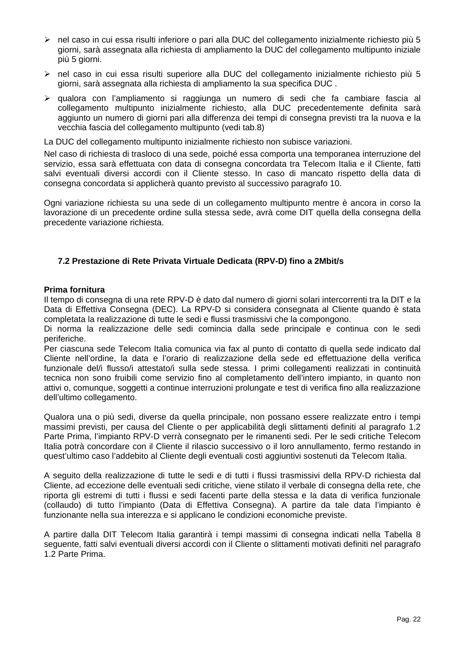- $\triangleright$  nel caso in cui essa risulti inferiore o pari alla DUC del collegamento inizialmente richiesto più 5 giorni, sarà assegnata alla richiesta di ampliamento la DUC del collegamento multipunto iniziale più 5 giorni.
- $\triangleright$  nel caso in cui essa risulti superiore alla DUC del collegamento inizialmente richiesto più 5 giorni, sarà assegnata alla richiesta di ampliamento la sua specifica DUC .
- ¾ qualora con l'ampliamento si raggiunga un numero di sedi che fa cambiare fascia al collegamento multipunto inizialmente richiesto, alla DUC precedentemente definita sarà aggiunto un numero di giorni pari alla differenza dei tempi di consegna previsti tra la nuova e la vecchia fascia del collegamento multipunto (vedi tab.8)

La DUC del collegamento multipunto inizialmente richiesto non subisce variazioni.

Nel caso di richiesta di trasloco di una sede, poiché essa comporta una temporanea interruzione del servizio, essa sarà effettuata con data di consegna concordata tra Telecom Italia e il Cliente, fatti salvi eventuali diversi accordi con il Cliente stesso. In caso di mancato rispetto della data di consegna concordata si applicherà quanto previsto al successivo paragrafo 10.

Ogni variazione richiesta su una sede di un collegamento multipunto mentre è ancora in corso la lavorazione di un precedente ordine sulla stessa sede, avrà come DIT quella della consegna della precedente variazione richiesta.

#### **7.2 Prestazione di Rete Privata Virtuale Dedicata (RPV-D) fino a 2Mbit/s**

#### **Prima fornitura**

Il tempo di consegna di una rete RPV-D è dato dal numero di giorni solari intercorrenti tra la DIT e la Data di Effettiva Consegna (DEC). La RPV-D si considera consegnata al Cliente quando è stata completata la realizzazione di tutte le sedi e flussi trasmissivi che la compongono.

Di norma la realizzazione delle sedi comincia dalla sede principale e continua con le sedi periferiche.

Per ciascuna sede Telecom Italia comunica via fax al punto di contatto di quella sede indicato dal Cliente nell'ordine, la data e l'orario di realizzazione della sede ed effettuazione della verifica funzionale del/i flusso/i attestato/i sulla sede stessa. I primi collegamenti realizzati in continuità tecnica non sono fruibili come servizio fino al completamento dell'intero impianto, in quanto non attivi o, comunque, soggetti a continue interruzioni prolungate e test di verifica fino alla realizzazione dell'ultimo collegamento.

Qualora una o più sedi, diverse da quella principale, non possano essere realizzate entro i tempi massimi previsti, per causa del Cliente o per applicabilità degli slittamenti definiti al paragrafo 1.2 Parte Prima, l'impianto RPV-D verrà consegnato per le rimanenti sedi. Per le sedi critiche Telecom Italia potrà concordare con il Cliente il rilascio successivo o il loro annullamento, fermo restando in quest'ultimo caso l'addebito al Cliente degli eventuali costi aggiuntivi sostenuti da Telecom Italia.

A seguito della realizzazione di tutte le sedi e di tutti i flussi trasmissivi della RPV-D richiesta dal Cliente, ad eccezione delle eventuali sedi critiche, viene stilato il verbale di consegna della rete, che riporta gli estremi di tutti i flussi e sedi facenti parte della stessa e la data di verifica funzionale (collaudo) di tutto l'impianto (Data di Effettiva Consegna). A partire da tale data l'impianto è funzionante nella sua interezza e si applicano le condizioni economiche previste.

A partire dalla DIT Telecom Italia garantirà i tempi massimi di consegna indicati nella Tabella 8 seguente, fatti salvi eventuali diversi accordi con il Cliente o slittamenti motivati definiti nel paragrafo 1.2 Parte Prima.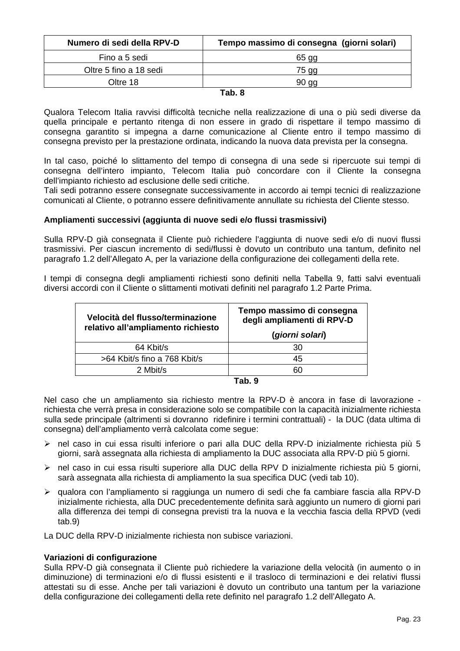| Tempo massimo di consegna (giorni solari) |
|-------------------------------------------|
| 65 gg                                     |
| 75 gg                                     |
| 90 <sub>qq</sub>                          |
|                                           |

#### **Tab. 8**

Qualora Telecom Italia ravvisi difficoltà tecniche nella realizzazione di una o più sedi diverse da quella principale e pertanto ritenga di non essere in grado di rispettare il tempo massimo di consegna garantito si impegna a darne comunicazione al Cliente entro il tempo massimo di consegna previsto per la prestazione ordinata, indicando la nuova data prevista per la consegna.

In tal caso, poiché lo slittamento del tempo di consegna di una sede si ripercuote sui tempi di consegna dell'intero impianto, Telecom Italia può concordare con il Cliente la consegna dell'impianto richiesto ad esclusione delle sedi critiche.

Tali sedi potranno essere consegnate successivamente in accordo ai tempi tecnici di realizzazione comunicati al Cliente, o potranno essere definitivamente annullate su richiesta del Cliente stesso.

## **Ampliamenti successivi (aggiunta di nuove sedi e/o flussi trasmissivi)**

Sulla RPV-D già consegnata il Cliente può richiedere l'aggiunta di nuove sedi e/o di nuovi flussi trasmissivi. Per ciascun incremento di sedi/flussi è dovuto un contributo una tantum, definito nel paragrafo 1.2 dell'Allegato A, per la variazione della configurazione dei collegamenti della rete.

I tempi di consegna degli ampliamenti richiesti sono definiti nella Tabella 9, fatti salvi eventuali diversi accordi con il Cliente o slittamenti motivati definiti nel paragrafo 1.2 Parte Prima.

| Velocità del flusso/terminazione<br>relativo all'ampliamento richiesto | Tempo massimo di consegna<br>degli ampliamenti di RPV-D<br>(giorni solari) |
|------------------------------------------------------------------------|----------------------------------------------------------------------------|
| 64 Kbit/s                                                              | 30                                                                         |
| >64 Kbit/s fino a 768 Kbit/s                                           | 45                                                                         |
| 2 Mbit/s                                                               | 60                                                                         |
|                                                                        |                                                                            |

| ۰.<br>٠<br>- | ۰. |
|--------------|----|
|--------------|----|

Nel caso che un ampliamento sia richiesto mentre la RPV-D è ancora in fase di lavorazione richiesta che verrà presa in considerazione solo se compatibile con la capacità inizialmente richiesta sulla sede principale (altrimenti si dovranno ridefinire i termini contrattuali) - la DUC (data ultima di consegna) dell'ampliamento verrà calcolata come segue:

- ¾ nel caso in cui essa risulti inferiore o pari alla DUC della RPV-D inizialmente richiesta più 5 giorni, sarà assegnata alla richiesta di ampliamento la DUC associata alla RPV-D più 5 giorni.
- ¾ nel caso in cui essa risulti superiore alla DUC della RPV D inizialmente richiesta più 5 giorni, sarà assegnata alla richiesta di ampliamento la sua specifica DUC (vedi tab 10).
- ¾ qualora con l'ampliamento si raggiunga un numero di sedi che fa cambiare fascia alla RPV-D inizialmente richiesta, alla DUC precedentemente definita sarà aggiunto un numero di giorni pari alla differenza dei tempi di consegna previsti tra la nuova e la vecchia fascia della RPVD (vedi tab.9)

La DUC della RPV-D inizialmente richiesta non subisce variazioni.

#### **Variazioni di configurazione**

Sulla RPV-D già consegnata il Cliente può richiedere la variazione della velocità (in aumento o in diminuzione) di terminazioni e/o di flussi esistenti e il trasloco di terminazioni e dei relativi flussi attestati su di esse. Anche per tali variazioni è dovuto un contributo una tantum per la variazione della configurazione dei collegamenti della rete definito nel paragrafo 1.2 dell'Allegato A.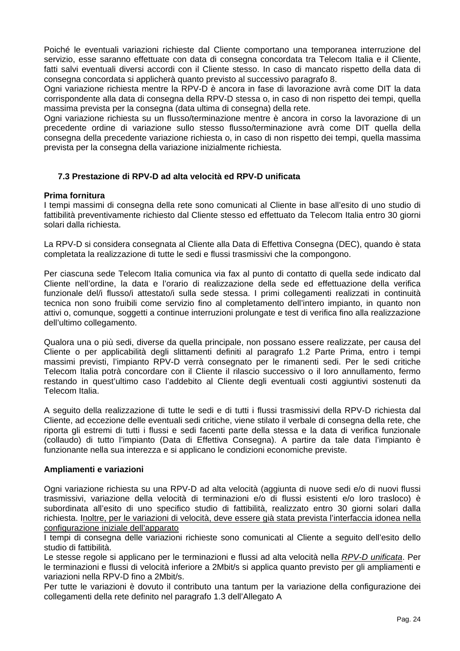Poiché le eventuali variazioni richieste dal Cliente comportano una temporanea interruzione del servizio, esse saranno effettuate con data di consegna concordata tra Telecom Italia e il Cliente, fatti salvi eventuali diversi accordi con il Cliente stesso. In caso di mancato rispetto della data di consegna concordata si applicherà quanto previsto al successivo paragrafo 8.

Ogni variazione richiesta mentre la RPV-D è ancora in fase di lavorazione avrà come DIT la data corrispondente alla data di consegna della RPV-D stessa o, in caso di non rispetto dei tempi, quella massima prevista per la consegna (data ultima di consegna) della rete.

Ogni variazione richiesta su un flusso/terminazione mentre è ancora in corso la lavorazione di un precedente ordine di variazione sullo stesso flusso/terminazione avrà come DIT quella della consegna della precedente variazione richiesta o, in caso di non rispetto dei tempi, quella massima prevista per la consegna della variazione inizialmente richiesta.

## **7.3 Prestazione di RPV-D ad alta velocità ed RPV-D unificata**

#### **Prima fornitura**

I tempi massimi di consegna della rete sono comunicati al Cliente in base all'esito di uno studio di fattibilità preventivamente richiesto dal Cliente stesso ed effettuato da Telecom Italia entro 30 giorni solari dalla richiesta.

La RPV-D si considera consegnata al Cliente alla Data di Effettiva Consegna (DEC), quando è stata completata la realizzazione di tutte le sedi e flussi trasmissivi che la compongono.

Per ciascuna sede Telecom Italia comunica via fax al punto di contatto di quella sede indicato dal Cliente nell'ordine, la data e l'orario di realizzazione della sede ed effettuazione della verifica funzionale del/i flusso/i attestato/i sulla sede stessa. I primi collegamenti realizzati in continuità tecnica non sono fruibili come servizio fino al completamento dell'intero impianto, in quanto non attivi o, comunque, soggetti a continue interruzioni prolungate e test di verifica fino alla realizzazione dell'ultimo collegamento.

Qualora una o più sedi, diverse da quella principale, non possano essere realizzate, per causa del Cliente o per applicabilità degli slittamenti definiti al paragrafo 1.2 Parte Prima, entro i tempi massimi previsti, l'impianto RPV-D verrà consegnato per le rimanenti sedi. Per le sedi critiche Telecom Italia potrà concordare con il Cliente il rilascio successivo o il loro annullamento, fermo restando in quest'ultimo caso l'addebito al Cliente degli eventuali costi aggiuntivi sostenuti da Telecom Italia.

A seguito della realizzazione di tutte le sedi e di tutti i flussi trasmissivi della RPV-D richiesta dal Cliente, ad eccezione delle eventuali sedi critiche, viene stilato il verbale di consegna della rete, che riporta gli estremi di tutti i flussi e sedi facenti parte della stessa e la data di verifica funzionale (collaudo) di tutto l'impianto (Data di Effettiva Consegna). A partire da tale data l'impianto è funzionante nella sua interezza e si applicano le condizioni economiche previste.

#### **Ampliamenti e variazioni**

Ogni variazione richiesta su una RPV-D ad alta velocità (aggiunta di nuove sedi e/o di nuovi flussi trasmissivi, variazione della velocità di terminazioni e/o di flussi esistenti e/o loro trasloco) è subordinata all'esito di uno specifico studio di fattibilità, realizzato entro 30 giorni solari dalla richiesta. Inoltre, per le variazioni di velocità, deve essere già stata prevista l'interfaccia idonea nella configurazione iniziale dell'apparato

I tempi di consegna delle variazioni richieste sono comunicati al Cliente a seguito dell'esito dello studio di fattibilità.

Le stesse regole si applicano per le terminazioni e flussi ad alta velocità nella *RPV-D unificata*. Per le terminazioni e flussi di velocità inferiore a 2Mbit/s si applica quanto previsto per gli ampliamenti e variazioni nella RPV-D fino a 2Mbit/s.

Per tutte le variazioni è dovuto il contributo una tantum per la variazione della configurazione dei collegamenti della rete definito nel paragrafo 1.3 dell'Allegato A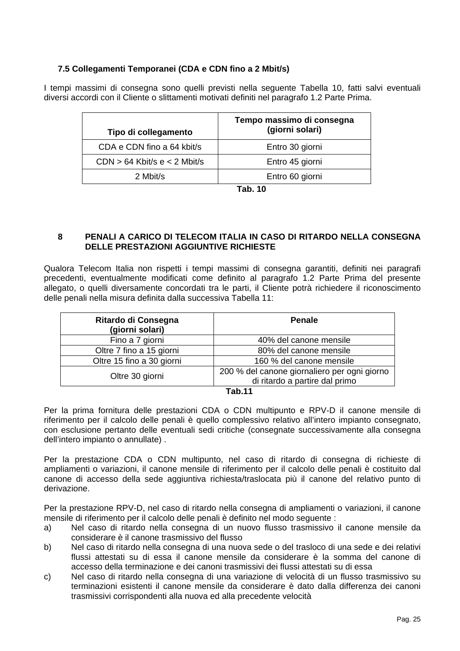## **7.5 Collegamenti Temporanei (CDA e CDN fino a 2 Mbit/s)**

I tempi massimi di consegna sono quelli previsti nella seguente Tabella 10, fatti salvi eventuali diversi accordi con il Cliente o slittamenti motivati definiti nel paragrafo 1.2 Parte Prima.

| Tipo di collegamento           | Tempo massimo di consegna<br>(giorni solari) |
|--------------------------------|----------------------------------------------|
| CDA e CDN fino a 64 kbit/s     | Entro 30 giorni                              |
| $CDN > 64$ Kbit/s e < 2 Mbit/s | Entro 45 giorni                              |
| 2 Mbit/s                       | Entro 60 giorni                              |

**Tab. 10** 

## **8 PENALI A CARICO DI TELECOM ITALIA IN CASO DI RITARDO NELLA CONSEGNA DELLE PRESTAZIONI AGGIUNTIVE RICHIESTE**

Qualora Telecom Italia non rispetti i tempi massimi di consegna garantiti, definiti nei paragrafi precedenti, eventualmente modificati come definito al paragrafo 1.2 Parte Prima del presente allegato, o quelli diversamente concordati tra le parti, il Cliente potrà richiedere il riconoscimento delle penali nella misura definita dalla successiva Tabella 11:

| Ritardo di Consegna<br>(giorni solari) | <b>Penale</b>                                |
|----------------------------------------|----------------------------------------------|
| Fino a 7 giorni                        | 40% del canone mensile                       |
| Oltre 7 fino a 15 giorni               | 80% del canone mensile                       |
| Oltre 15 fino a 30 giorni              | 160 % del canone mensile                     |
| Oltre 30 giorni                        | 200 % del canone giornaliero per ogni giorno |
|                                        | di ritardo a partire dal primo               |
| T.L 44                                 |                                              |

#### **Tab.11**

Per la prima fornitura delle prestazioni CDA o CDN multipunto e RPV-D il canone mensile di riferimento per il calcolo delle penali è quello complessivo relativo all'intero impianto consegnato, con esclusione pertanto delle eventuali sedi critiche (consegnate successivamente alla consegna dell'intero impianto o annullate) .

Per la prestazione CDA o CDN multipunto, nel caso di ritardo di consegna di richieste di ampliamenti o variazioni, il canone mensile di riferimento per il calcolo delle penali è costituito dal canone di accesso della sede aggiuntiva richiesta/traslocata più il canone del relativo punto di derivazione.

Per la prestazione RPV-D, nel caso di ritardo nella consegna di ampliamenti o variazioni, il canone mensile di riferimento per il calcolo delle penali è definito nel modo seguente :

- a) Nel caso di ritardo nella consegna di un nuovo flusso trasmissivo il canone mensile da considerare è il canone trasmissivo del flusso
- b) Nel caso di ritardo nella consegna di una nuova sede o del trasloco di una sede e dei relativi flussi attestati su di essa il canone mensile da considerare è la somma del canone di accesso della terminazione e dei canoni trasmissivi dei flussi attestati su di essa
- c) Nel caso di ritardo nella consegna di una variazione di velocità di un flusso trasmissivo su terminazioni esistenti il canone mensile da considerare è dato dalla differenza dei canoni trasmissivi corrispondenti alla nuova ed alla precedente velocità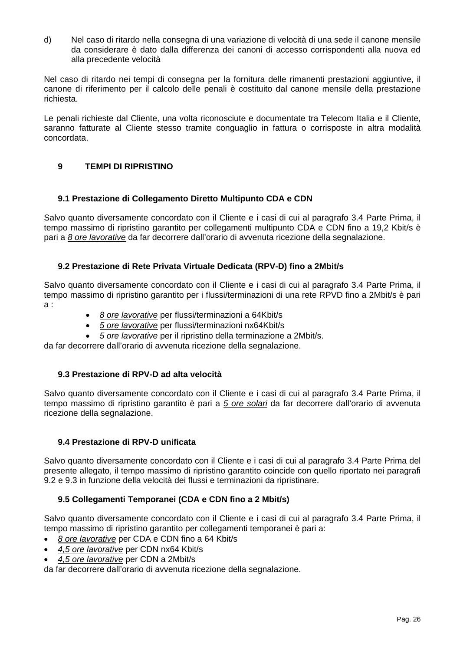d) Nel caso di ritardo nella consegna di una variazione di velocità di una sede il canone mensile da considerare è dato dalla differenza dei canoni di accesso corrispondenti alla nuova ed alla precedente velocità

Nel caso di ritardo nei tempi di consegna per la fornitura delle rimanenti prestazioni aggiuntive, il canone di riferimento per il calcolo delle penali è costituito dal canone mensile della prestazione richiesta.

Le penali richieste dal Cliente, una volta riconosciute e documentate tra Telecom Italia e il Cliente, saranno fatturate al Cliente stesso tramite conguaglio in fattura o corrisposte in altra modalità concordata.

## **9 TEMPI DI RIPRISTINO**

#### **9.1 Prestazione di Collegamento Diretto Multipunto CDA e CDN**

Salvo quanto diversamente concordato con il Cliente e i casi di cui al paragrafo 3.4 Parte Prima, il tempo massimo di ripristino garantito per collegamenti multipunto CDA e CDN fino a 19,2 Kbit/s è pari a *8 ore lavorative* da far decorrere dall'orario di avvenuta ricezione della segnalazione.

#### **9.2 Prestazione di Rete Privata Virtuale Dedicata (RPV-D) fino a 2Mbit/s**

Salvo quanto diversamente concordato con il Cliente e i casi di cui al paragrafo 3.4 Parte Prima, il tempo massimo di ripristino garantito per i flussi/terminazioni di una rete RPVD fino a 2Mbit/s è pari a :

- *8 ore lavorative* per flussi/terminazioni a 64Kbit/s
- *5 ore lavorative* per flussi/terminazioni nx64Kbit/s
- *5 ore lavorative* per il ripristino della terminazione a 2Mbit/s.

da far decorrere dall'orario di avvenuta ricezione della segnalazione.

#### **9.3 Prestazione di RPV-D ad alta velocità**

Salvo quanto diversamente concordato con il Cliente e i casi di cui al paragrafo 3.4 Parte Prima, il tempo massimo di ripristino garantito è pari a *5 ore solari* da far decorrere dall'orario di avvenuta ricezione della segnalazione.

#### **9.4 Prestazione di RPV-D unificata**

Salvo quanto diversamente concordato con il Cliente e i casi di cui al paragrafo 3.4 Parte Prima del presente allegato, il tempo massimo di ripristino garantito coincide con quello riportato nei paragrafi 9.2 e 9.3 in funzione della velocità dei flussi e terminazioni da ripristinare.

#### **9.5 Collegamenti Temporanei (CDA e CDN fino a 2 Mbit/s)**

Salvo quanto diversamente concordato con il Cliente e i casi di cui al paragrafo 3.4 Parte Prima, il tempo massimo di ripristino garantito per collegamenti temporanei è pari a:

- *8 ore lavorative* per CDA e CDN fino a 64 Kbit/s
- *4,5 ore lavorative* per CDN nx64 Kbit/s
- *4,5 ore lavorative* per CDN a 2Mbit/s

da far decorrere dall'orario di avvenuta ricezione della segnalazione.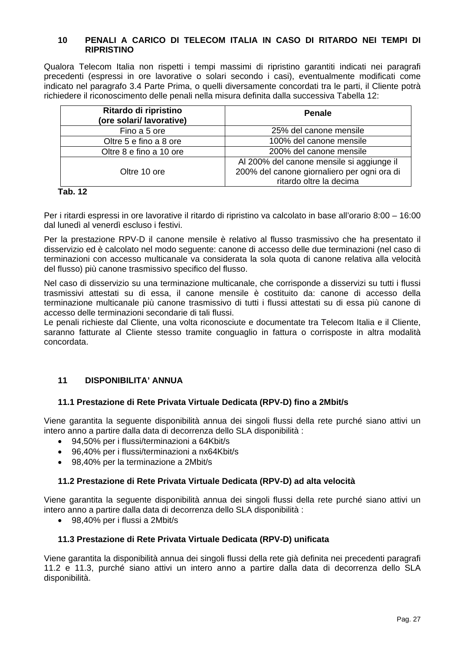#### **10 PENALI A CARICO DI TELECOM ITALIA IN CASO DI RITARDO NEI TEMPI DI RIPRISTINO**

Qualora Telecom Italia non rispetti i tempi massimi di ripristino garantiti indicati nei paragrafi precedenti (espressi in ore lavorative o solari secondo i casi), eventualmente modificati come indicato nel paragrafo 3.4 Parte Prima, o quelli diversamente concordati tra le parti, il Cliente potrà richiedere il riconoscimento delle penali nella misura definita dalla successiva Tabella 12:

| Ritardo di ripristino<br>(ore solari/ lavorative) | <b>Penale</b>                                                                                                       |
|---------------------------------------------------|---------------------------------------------------------------------------------------------------------------------|
| Fino a 5 ore                                      | 25% del canone mensile                                                                                              |
| Oltre 5 e fino a 8 ore                            | 100% del canone mensile                                                                                             |
| Oltre 8 e fino a 10 ore                           | 200% del canone mensile                                                                                             |
| Oltre 10 ore                                      | Al 200% del canone mensile si aggiunge il<br>200% del canone giornaliero per ogni ora di<br>ritardo oltre la decima |

#### **Tab. 12**

Per i ritardi espressi in ore lavorative il ritardo di ripristino va calcolato in base all'orario 8:00 – 16:00 dal lunedì al venerdì escluso i festivi.

Per la prestazione RPV-D il canone mensile è relativo al flusso trasmissivo che ha presentato il disservizio ed è calcolato nel modo seguente: canone di accesso delle due terminazioni (nel caso di terminazioni con accesso multicanale va considerata la sola quota di canone relativa alla velocità del flusso) più canone trasmissivo specifico del flusso.

Nel caso di disservizio su una terminazione multicanale, che corrisponde a disservizi su tutti i flussi trasmissivi attestati su di essa, il canone mensile è costituito da: canone di accesso della terminazione multicanale più canone trasmissivo di tutti i flussi attestati su di essa più canone di accesso delle terminazioni secondarie di tali flussi.

Le penali richieste dal Cliente, una volta riconosciute e documentate tra Telecom Italia e il Cliente, saranno fatturate al Cliente stesso tramite conguaglio in fattura o corrisposte in altra modalità concordata.

#### **11 DISPONIBILITA' ANNUA**

#### **11.1 Prestazione di Rete Privata Virtuale Dedicata (RPV-D) fino a 2Mbit/s**

Viene garantita la seguente disponibilità annua dei singoli flussi della rete purché siano attivi un intero anno a partire dalla data di decorrenza dello SLA disponibilità :

- 94,50% per i flussi/terminazioni a 64Kbit/s
- 96,40% per i flussi/terminazioni a nx64Kbit/s
- 98,40% per la terminazione a 2Mbit/s

#### **11.2 Prestazione di Rete Privata Virtuale Dedicata (RPV-D) ad alta velocità**

Viene garantita la seguente disponibilità annua dei singoli flussi della rete purché siano attivi un intero anno a partire dalla data di decorrenza dello SLA disponibilità :

• 98,40% per i flussi a 2Mbit/s

#### **11.3 Prestazione di Rete Privata Virtuale Dedicata (RPV-D) unificata**

Viene garantita la disponibilità annua dei singoli flussi della rete già definita nei precedenti paragrafi 11.2 e 11.3, purché siano attivi un intero anno a partire dalla data di decorrenza dello SLA disponibilità.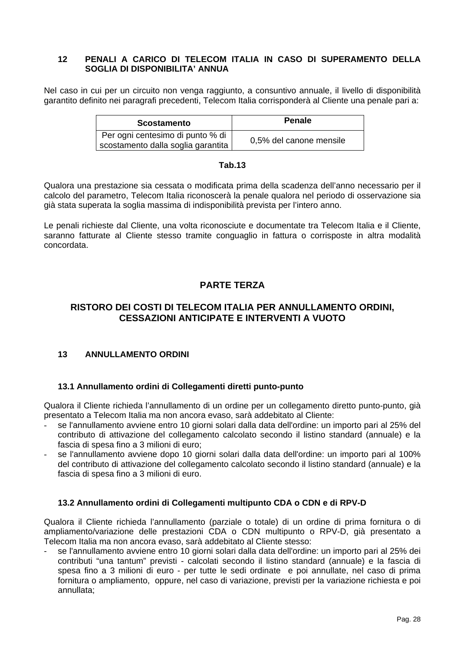## **12 PENALI A CARICO DI TELECOM ITALIA IN CASO DI SUPERAMENTO DELLA SOGLIA DI DISPONIBILITA' ANNUA**

Nel caso in cui per un circuito non venga raggiunto, a consuntivo annuale, il livello di disponibilità garantito definito nei paragrafi precedenti, Telecom Italia corrisponderà al Cliente una penale pari a:

| <b>Scostamento</b>                                                       | <b>Penale</b>           |
|--------------------------------------------------------------------------|-------------------------|
| Per ogni centesimo di punto % di<br>scostamento dalla soglia garantita ' | 0,5% del canone mensile |

#### **Tab.13**

Qualora una prestazione sia cessata o modificata prima della scadenza dell'anno necessario per il calcolo del parametro, Telecom Italia riconoscerà la penale qualora nel periodo di osservazione sia già stata superata la soglia massima di indisponibilità prevista per l'intero anno.

Le penali richieste dal Cliente, una volta riconosciute e documentate tra Telecom Italia e il Cliente, saranno fatturate al Cliente stesso tramite conguaglio in fattura o corrisposte in altra modalità concordata.

## **PARTE TERZA**

## **RISTORO DEI COSTI DI TELECOM ITALIA PER ANNULLAMENTO ORDINI, CESSAZIONI ANTICIPATE E INTERVENTI A VUOTO**

#### **13 ANNULLAMENTO ORDINI**

#### **13.1 Annullamento ordini di Collegamenti diretti punto-punto**

Qualora il Cliente richieda l'annullamento di un ordine per un collegamento diretto punto-punto, già presentato a Telecom Italia ma non ancora evaso, sarà addebitato al Cliente:

- se l'annullamento avviene entro 10 giorni solari dalla data dell'ordine: un importo pari al 25% del contributo di attivazione del collegamento calcolato secondo il listino standard (annuale) e la fascia di spesa fino a 3 milioni di euro;
- se l'annullamento avviene dopo 10 giorni solari dalla data dell'ordine: un importo pari al 100% del contributo di attivazione del collegamento calcolato secondo il listino standard (annuale) e la fascia di spesa fino a 3 milioni di euro.

#### **13.2 Annullamento ordini di Collegamenti multipunto CDA o CDN e di RPV-D**

Qualora il Cliente richieda l'annullamento (parziale o totale) di un ordine di prima fornitura o di ampliamento/variazione delle prestazioni CDA o CDN multipunto o RPV-D, già presentato a Telecom Italia ma non ancora evaso, sarà addebitato al Cliente stesso:

se l'annullamento avviene entro 10 giorni solari dalla data dell'ordine: un importo pari al 25% dei contributi "una tantum" previsti - calcolati secondo il listino standard (annuale) e la fascia di spesa fino a 3 milioni di euro - per tutte le sedi ordinate e poi annullate, nel caso di prima fornitura o ampliamento, oppure, nel caso di variazione, previsti per la variazione richiesta e poi annullata;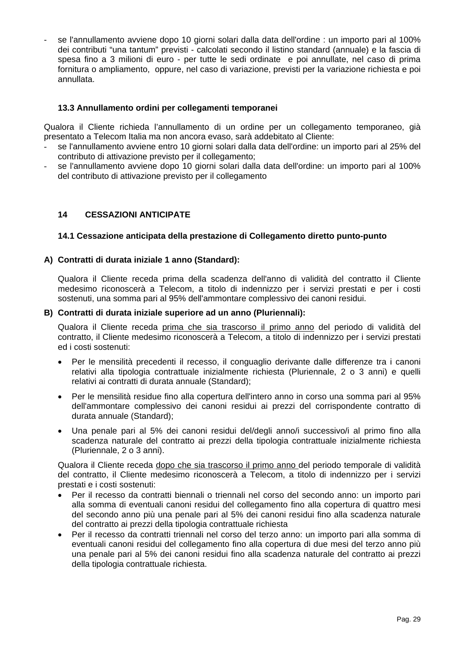- se l'annullamento avviene dopo 10 giorni solari dalla data dell'ordine : un importo pari al 100% dei contributi "una tantum" previsti - calcolati secondo il listino standard (annuale) e la fascia di spesa fino a 3 milioni di euro - per tutte le sedi ordinate e poi annullate, nel caso di prima fornitura o ampliamento, oppure, nel caso di variazione, previsti per la variazione richiesta e poi annullata.

#### **13.3 Annullamento ordini per collegamenti temporanei**

Qualora il Cliente richieda l'annullamento di un ordine per un collegamento temporaneo, già presentato a Telecom Italia ma non ancora evaso, sarà addebitato al Cliente:

- se l'annullamento avviene entro 10 giorni solari dalla data dell'ordine: un importo pari al 25% del contributo di attivazione previsto per il collegamento;
- se l'annullamento avviene dopo 10 giorni solari dalla data dell'ordine: un importo pari al 100% del contributo di attivazione previsto per il collegamento

## **14 CESSAZIONI ANTICIPATE**

#### **14.1 Cessazione anticipata della prestazione di Collegamento diretto punto-punto**

#### **A) Contratti di durata iniziale 1 anno (Standard):**

Qualora il Cliente receda prima della scadenza dell'anno di validità del contratto il Cliente medesimo riconoscerà a Telecom, a titolo di indennizzo per i servizi prestati e per i costi sostenuti, una somma pari al 95% dell'ammontare complessivo dei canoni residui.

#### **B) Contratti di durata iniziale superiore ad un anno (Pluriennali):**

Qualora il Cliente receda prima che sia trascorso il primo anno del periodo di validità del contratto, il Cliente medesimo riconoscerà a Telecom, a titolo di indennizzo per i servizi prestati ed i costi sostenuti:

- Per le mensilità precedenti il recesso, il conguaglio derivante dalle differenze tra i canoni relativi alla tipologia contrattuale inizialmente richiesta (Pluriennale, 2 o 3 anni) e quelli relativi ai contratti di durata annuale (Standard);
- Per le mensilità residue fino alla copertura dell'intero anno in corso una somma pari al 95% dell'ammontare complessivo dei canoni residui ai prezzi del corrispondente contratto di durata annuale (Standard);
- Una penale pari al 5% dei canoni residui del/degli anno/i successivo/i al primo fino alla scadenza naturale del contratto ai prezzi della tipologia contrattuale inizialmente richiesta (Pluriennale, 2 o 3 anni).

Qualora il Cliente receda dopo che sia trascorso il primo anno del periodo temporale di validità del contratto, il Cliente medesimo riconoscerà a Telecom, a titolo di indennizzo per i servizi prestati e i costi sostenuti:

- Per il recesso da contratti biennali o triennali nel corso del secondo anno: un importo pari alla somma di eventuali canoni residui del collegamento fino alla copertura di quattro mesi del secondo anno più una penale pari al 5% dei canoni residui fino alla scadenza naturale del contratto ai prezzi della tipologia contrattuale richiesta
- Per il recesso da contratti triennali nel corso del terzo anno: un importo pari alla somma di eventuali canoni residui del collegamento fino alla copertura di due mesi del terzo anno più una penale pari al 5% dei canoni residui fino alla scadenza naturale del contratto ai prezzi della tipologia contrattuale richiesta.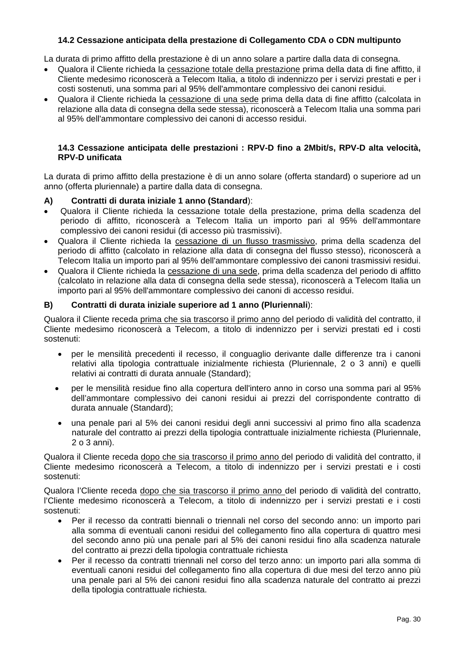## **14.2 Cessazione anticipata della prestazione di Collegamento CDA o CDN multipunto**

La durata di primo affitto della prestazione è di un anno solare a partire dalla data di consegna.

- Qualora il Cliente richieda la cessazione totale della prestazione prima della data di fine affitto, il Cliente medesimo riconoscerà a Telecom Italia, a titolo di indennizzo per i servizi prestati e per i costi sostenuti, una somma pari al 95% dell'ammontare complessivo dei canoni residui.
- Qualora il Cliente richieda la cessazione di una sede prima della data di fine affitto (calcolata in relazione alla data di consegna della sede stessa), riconoscerà a Telecom Italia una somma pari al 95% dell'ammontare complessivo dei canoni di accesso residui.

#### **14.3 Cessazione anticipata delle prestazioni : RPV-D fino a 2Mbit/s, RPV-D alta velocità, RPV-D unificata**

La durata di primo affitto della prestazione è di un anno solare (offerta standard) o superiore ad un anno (offerta pluriennale) a partire dalla data di consegna.

## **A) Contratti di durata iniziale 1 anno (Standard**):

- Qualora il Cliente richieda la cessazione totale della prestazione, prima della scadenza del periodo di affitto, riconoscerà a Telecom Italia un importo pari al 95% dell'ammontare complessivo dei canoni residui (di accesso più trasmissivi).
- Qualora il Cliente richieda la cessazione di un flusso trasmissivo, prima della scadenza del periodo di affitto (calcolato in relazione alla data di consegna del flusso stesso), riconoscerà a Telecom Italia un importo pari al 95% dell'ammontare complessivo dei canoni trasmissivi residui.
- Qualora il Cliente richieda la cessazione di una sede, prima della scadenza del periodo di affitto (calcolato in relazione alla data di consegna della sede stessa), riconoscerà a Telecom Italia un importo pari al 95% dell'ammontare complessivo dei canoni di accesso residui.

## **B) Contratti di durata iniziale superiore ad 1 anno (Pluriennali**):

Qualora il Cliente receda prima che sia trascorso il primo anno del periodo di validità del contratto, il Cliente medesimo riconoscerà a Telecom, a titolo di indennizzo per i servizi prestati ed i costi sostenuti:

- per le mensilità precedenti il recesso, il conguaglio derivante dalle differenze tra i canoni relativi alla tipologia contrattuale inizialmente richiesta (Pluriennale, 2 o 3 anni) e quelli relativi ai contratti di durata annuale (Standard);
- per le mensilità residue fino alla copertura dell'intero anno in corso una somma pari al 95% dell'ammontare complessivo dei canoni residui ai prezzi del corrispondente contratto di durata annuale (Standard);
- una penale pari al 5% dei canoni residui degli anni successivi al primo fino alla scadenza naturale del contratto ai prezzi della tipologia contrattuale inizialmente richiesta (Pluriennale, 2 o 3 anni).

Qualora il Cliente receda dopo che sia trascorso il primo anno del periodo di validità del contratto, il Cliente medesimo riconoscerà a Telecom, a titolo di indennizzo per i servizi prestati e i costi sostenuti:

Qualora l'Cliente receda dopo che sia trascorso il primo anno del periodo di validità del contratto, l'Cliente medesimo riconoscerà a Telecom, a titolo di indennizzo per i servizi prestati e i costi sostenuti:

- Per il recesso da contratti biennali o triennali nel corso del secondo anno: un importo pari alla somma di eventuali canoni residui del collegamento fino alla copertura di quattro mesi del secondo anno più una penale pari al 5% dei canoni residui fino alla scadenza naturale del contratto ai prezzi della tipologia contrattuale richiesta
- Per il recesso da contratti triennali nel corso del terzo anno: un importo pari alla somma di eventuali canoni residui del collegamento fino alla copertura di due mesi del terzo anno più una penale pari al 5% dei canoni residui fino alla scadenza naturale del contratto ai prezzi della tipologia contrattuale richiesta.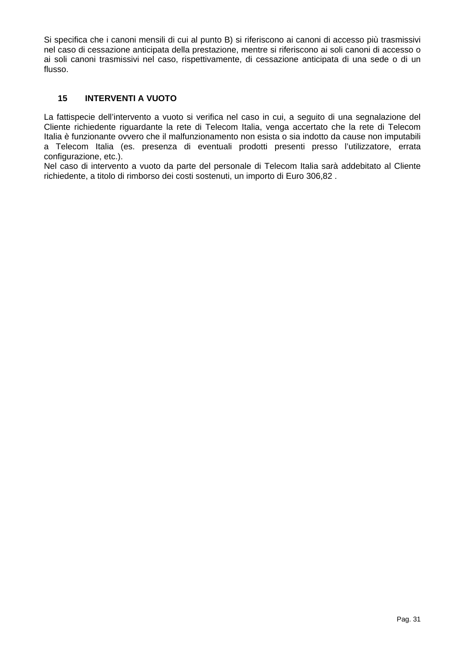Si specifica che i canoni mensili di cui al punto B) si riferiscono ai canoni di accesso più trasmissivi nel caso di cessazione anticipata della prestazione, mentre si riferiscono ai soli canoni di accesso o ai soli canoni trasmissivi nel caso, rispettivamente, di cessazione anticipata di una sede o di un flusso.

## **15 INTERVENTI A VUOTO**

La fattispecie dell'intervento a vuoto si verifica nel caso in cui, a seguito di una segnalazione del Cliente richiedente riguardante la rete di Telecom Italia, venga accertato che la rete di Telecom Italia è funzionante ovvero che il malfunzionamento non esista o sia indotto da cause non imputabili a Telecom Italia (es. presenza di eventuali prodotti presenti presso l'utilizzatore, errata configurazione, etc.).

Nel caso di intervento a vuoto da parte del personale di Telecom Italia sarà addebitato al Cliente richiedente, a titolo di rimborso dei costi sostenuti, un importo di Euro 306,82 .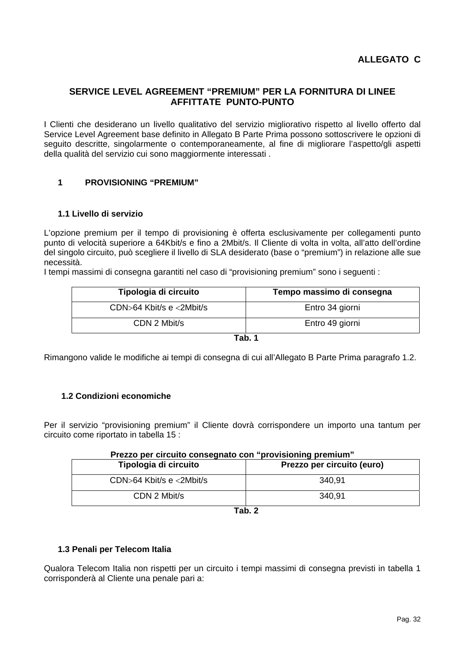## **SERVICE LEVEL AGREEMENT "PREMIUM" PER LA FORNITURA DI LINEE AFFITTATE PUNTO-PUNTO**

I Clienti che desiderano un livello qualitativo del servizio migliorativo rispetto al livello offerto dal Service Level Agreement base definito in Allegato B Parte Prima possono sottoscrivere le opzioni di seguito descritte, singolarmente o contemporaneamente, al fine di migliorare l'aspetto/gli aspetti della qualità del servizio cui sono maggiormente interessati .

## **1 PROVISIONING "PREMIUM"**

#### **1.1 Livello di servizio**

L'opzione premium per il tempo di provisioning è offerta esclusivamente per collegamenti punto punto di velocità superiore a 64Kbit/s e fino a 2Mbit/s. Il Cliente di volta in volta, all'atto dell'ordine del singolo circuito, può scegliere il livello di SLA desiderato (base o "premium") in relazione alle sue necessità.

I tempi massimi di consegna garantiti nel caso di "provisioning premium" sono i seguenti :

| Tipologia di circuito          | Tempo massimo di consegna |
|--------------------------------|---------------------------|
| CDN>64 Kbit/s $e \le 2$ Mbit/s | Entro 34 giorni           |
| CDN 2 Mbit/s                   | Entro 49 giorni           |

**Tab. 1** 

Rimangono valide le modifiche ai tempi di consegna di cui all'Allegato B Parte Prima paragrafo 1.2.

#### **1.2 Condizioni economiche**

Per il servizio "provisioning premium" il Cliente dovrà corrispondere un importo una tantum per circuito come riportato in tabella 15 :

| Prezzo per circuito consegnato con "provisioning premium" |                            |  |
|-----------------------------------------------------------|----------------------------|--|
| Tipologia di circuito                                     | Prezzo per circuito (euro) |  |
| CDN>64 Kbit/s e <2Mbit/s                                  | 340,91                     |  |
| CDN 2 Mbit/s                                              | 340,91                     |  |
| $T - L$ $\sim$                                            |                            |  |

| -<br>٠<br>۰. |  |
|--------------|--|
|--------------|--|

#### **1.3 Penali per Telecom Italia**

Qualora Telecom Italia non rispetti per un circuito i tempi massimi di consegna previsti in tabella 1 corrisponderà al Cliente una penale pari a: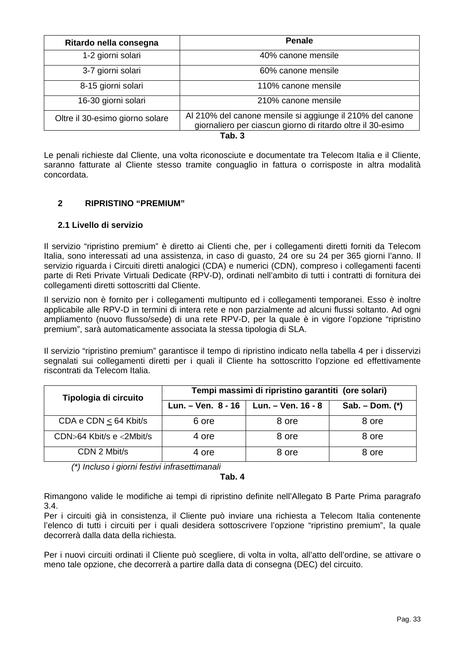| Ritardo nella consegna          | <b>Penale</b>                                                                                                            |
|---------------------------------|--------------------------------------------------------------------------------------------------------------------------|
| 1-2 giorni solari               | 40% canone mensile                                                                                                       |
| 3-7 giorni solari               | 60% canone mensile                                                                                                       |
| 8-15 giorni solari              | 110% canone mensile                                                                                                      |
| 16-30 giorni solari             | 210% canone mensile                                                                                                      |
| Oltre il 30-esimo giorno solare | Al 210% del canone mensile si aggiunge il 210% del canone<br>giornaliero per ciascun giorno di ritardo oltre il 30-esimo |

**Tab. 3** 

Le penali richieste dal Cliente, una volta riconosciute e documentate tra Telecom Italia e il Cliente, saranno fatturate al Cliente stesso tramite conguaglio in fattura o corrisposte in altra modalità concordata.

## **2 RIPRISTINO "PREMIUM"**

## **2.1 Livello di servizio**

Il servizio "ripristino premium" è diretto ai Clienti che, per i collegamenti diretti forniti da Telecom Italia, sono interessati ad una assistenza, in caso di guasto, 24 ore su 24 per 365 giorni l'anno. Il servizio riguarda i Circuiti diretti analogici (CDA) e numerici (CDN), compreso i collegamenti facenti parte di Reti Private Virtuali Dedicate (RPV-D), ordinati nell'ambito di tutti i contratti di fornitura dei collegamenti diretti sottoscritti dal Cliente.

Il servizio non è fornito per i collegamenti multipunto ed i collegamenti temporanei. Esso è inoltre applicabile alle RPV-D in termini di intera rete e non parzialmente ad alcuni flussi soltanto. Ad ogni ampliamento (nuovo flusso/sede) di una rete RPV-D, per la quale è in vigore l'opzione "ripristino premium", sarà automaticamente associata la stessa tipologia di SLA.

Il servizio "ripristino premium" garantisce il tempo di ripristino indicato nella tabella 4 per i disservizi segnalati sui collegamenti diretti per i quali il Cliente ha sottoscritto l'opzione ed effettivamente riscontrati da Telecom Italia.

| Tipologia di circuito      | Tempi massimi di ripristino garantiti (ore solari) |                                           |                   |
|----------------------------|----------------------------------------------------|-------------------------------------------|-------------------|
|                            |                                                    | Lun. – Ven. $8 - 16$   Lun. – Ven. 16 - 8 | Sab. – Dom. $(*)$ |
| CDA e CDN $\leq$ 64 Kbit/s | 6 ore                                              | 8 ore                                     | 8 ore             |
| CDN>64 Kbit/s e <2Mbit/s   | 4 ore                                              | 8 ore                                     | 8 ore             |
| CDN 2 Mbit/s               | 4 ore                                              | 8 ore                                     | 8 ore             |

*(\*) Incluso i giorni festivi infrasettimanali* 

#### **Tab. 4**

Rimangono valide le modifiche ai tempi di ripristino definite nell'Allegato B Parte Prima paragrafo 3.4.

Per i circuiti già in consistenza, il Cliente può inviare una richiesta a Telecom Italia contenente l'elenco di tutti i circuiti per i quali desidera sottoscrivere l'opzione "ripristino premium", la quale decorrerà dalla data della richiesta.

Per i nuovi circuiti ordinati il Cliente può scegliere, di volta in volta, all'atto dell'ordine, se attivare o meno tale opzione, che decorrerà a partire dalla data di consegna (DEC) del circuito.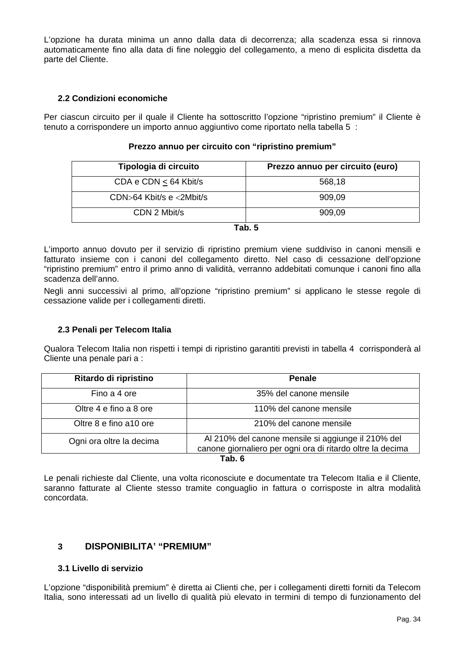L'opzione ha durata minima un anno dalla data di decorrenza; alla scadenza essa si rinnova automaticamente fino alla data di fine noleggio del collegamento, a meno di esplicita disdetta da parte del Cliente.

## **2.2 Condizioni economiche**

Per ciascun circuito per il quale il Cliente ha sottoscritto l'opzione "ripristino premium" il Cliente è tenuto a corrispondere un importo annuo aggiuntivo come riportato nella tabella 5 :

| Tipologia di circuito          | Prezzo annuo per circuito (euro) |
|--------------------------------|----------------------------------|
| CDA e CDN $\leq$ 64 Kbit/s     | 568,18                           |
| CDN $>64$ Kbit/s e $<$ 2Mbit/s | 909,09                           |
| CDN 2 Mbit/s                   | 909,09                           |

#### **Prezzo annuo per circuito con "ripristino premium"**

**Tab. 5** 

L'importo annuo dovuto per il servizio di ripristino premium viene suddiviso in canoni mensili e fatturato insieme con i canoni del collegamento diretto. Nel caso di cessazione dell'opzione "ripristino premium" entro il primo anno di validità, verranno addebitati comunque i canoni fino alla scadenza dell'anno.

Negli anni successivi al primo, all'opzione "ripristino premium" si applicano le stesse regole di cessazione valide per i collegamenti diretti.

## **2.3 Penali per Telecom Italia**

Qualora Telecom Italia non rispetti i tempi di ripristino garantiti previsti in tabella 4 corrisponderà al Cliente una penale pari a :

| Ritardo di ripristino    | <b>Penale</b>                                                                                                    |  |
|--------------------------|------------------------------------------------------------------------------------------------------------------|--|
| Fino a 4 ore             | 35% del canone mensile                                                                                           |  |
| Oltre 4 e fino a 8 ore   | 110% del canone mensile                                                                                          |  |
| Oltre 8 e fino a 10 ore  | 210% del canone mensile                                                                                          |  |
| Ogni ora oltre la decima | Al 210% del canone mensile si aggiunge il 210% del<br>canone giornaliero per ogni ora di ritardo oltre la decima |  |
| Tab. 6                   |                                                                                                                  |  |

Le penali richieste dal Cliente, una volta riconosciute e documentate tra Telecom Italia e il Cliente, saranno fatturate al Cliente stesso tramite conguaglio in fattura o corrisposte in altra modalità concordata.

## **3 DISPONIBILITA' "PREMIUM"**

#### **3.1 Livello di servizio**

L'opzione "disponibilità premium" è diretta ai Clienti che, per i collegamenti diretti forniti da Telecom Italia, sono interessati ad un livello di qualità più elevato in termini di tempo di funzionamento del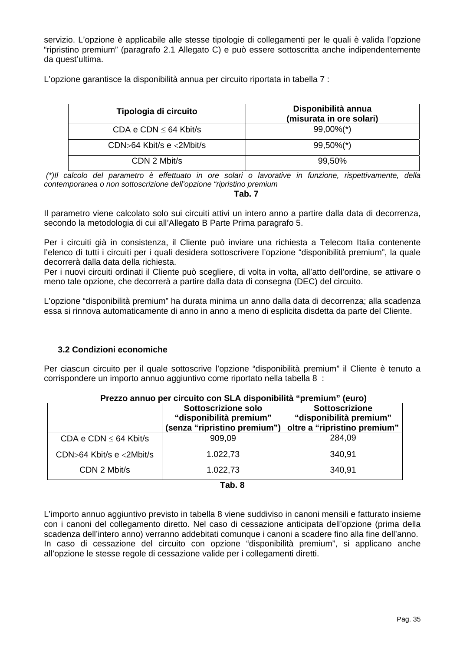servizio. L'opzione è applicabile alle stesse tipologie di collegamenti per le quali è valida l'opzione "ripristino premium" (paragrafo 2.1 Allegato C) e può essere sottoscritta anche indipendentemente da quest'ultima.

L'opzione garantisce la disponibilità annua per circuito riportata in tabella 7 :

| Tipologia di circuito                  | Disponibilità annua<br>(misurata in ore solari) |
|----------------------------------------|-------------------------------------------------|
| CDA e CDN $\leq$ 64 Kbit/s             | $99,00\%$ <sup>*</sup> )                        |
| $CDN > 64$ Kbit/s e $\langle 2M$ bit/s | $99,50\%$ <sup>*</sup> )                        |
| CDN 2 Mbit/s                           | 99,50%                                          |

 *(\*)Il calcolo del parametro è effettuato in ore solari o lavorative in funzione, rispettivamente, della contemporanea o non sottoscrizione dell'opzione "ripristino premium* 

#### **Tab. 7**

Il parametro viene calcolato solo sui circuiti attivi un intero anno a partire dalla data di decorrenza, secondo la metodologia di cui all'Allegato B Parte Prima paragrafo 5.

Per i circuiti già in consistenza, il Cliente può inviare una richiesta a Telecom Italia contenente l'elenco di tutti i circuiti per i quali desidera sottoscrivere l'opzione "disponibilità premium", la quale decorrerà dalla data della richiesta.

Per i nuovi circuiti ordinati il Cliente può scegliere, di volta in volta, all'atto dell'ordine, se attivare o meno tale opzione, che decorrerà a partire dalla data di consegna (DEC) del circuito.

L'opzione "disponibilità premium" ha durata minima un anno dalla data di decorrenza; alla scadenza essa si rinnova automaticamente di anno in anno a meno di esplicita disdetta da parte del Cliente.

#### **3.2 Condizioni economiche**

Per ciascun circuito per il quale sottoscrive l'opzione "disponibilità premium" il Cliente è tenuto a corrispondere un importo annuo aggiuntivo come riportato nella tabella 8 :

| Prezzo annuo per circuito con SLA disponibilità "premium" (euro) |                                                |                                                  |
|------------------------------------------------------------------|------------------------------------------------|--------------------------------------------------|
|                                                                  | Sottoscrizione solo<br>"disponibilità premium" | <b>Sottoscrizione</b><br>"disponibilità premium" |
|                                                                  | (senza "ripristino premium")                   | oltre a "ripristino premium"                     |
| CDA e CDN $\leq$ 64 Kbit/s                                       | 909,09                                         | 284,09                                           |
| CDN>64 Kbit/s e <2Mbit/s                                         | 1.022,73                                       | 340,91                                           |
| CDN 2 Mbit/s                                                     | 1.022,73                                       | 340,91                                           |
| T.L 0                                                            |                                                |                                                  |

**Tab. 8** 

L'importo annuo aggiuntivo previsto in tabella 8 viene suddiviso in canoni mensili e fatturato insieme con i canoni del collegamento diretto. Nel caso di cessazione anticipata dell'opzione (prima della scadenza dell'intero anno) verranno addebitati comunque i canoni a scadere fino alla fine dell'anno. In caso di cessazione del circuito con opzione "disponibilità premium", si applicano anche all'opzione le stesse regole di cessazione valide per i collegamenti diretti.